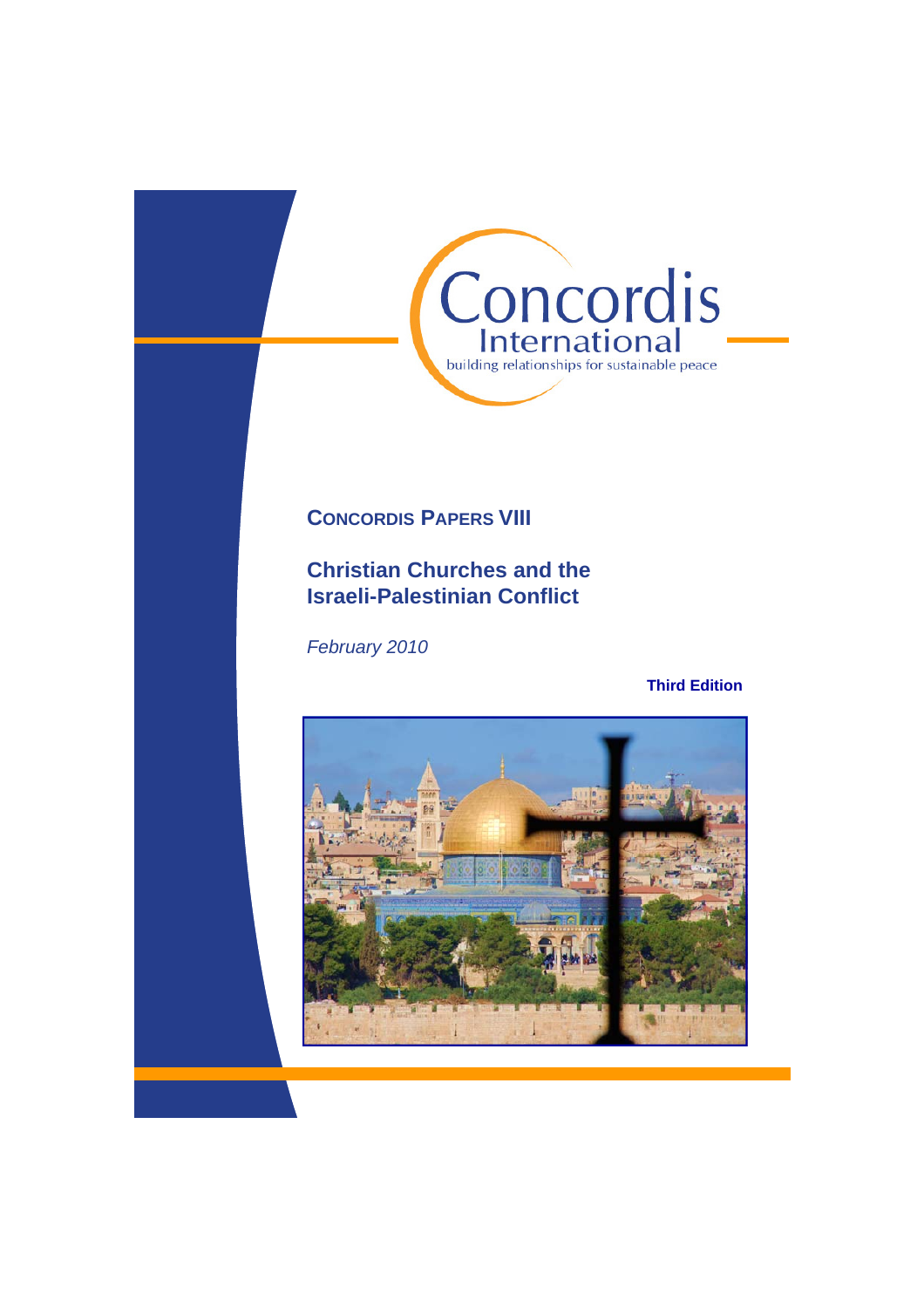

# **CONCORDIS PAPERS VIII**

# **Christian Churches and the Israeli-Palestinian Conflict**

*February 2010* 

## **Third Edition**

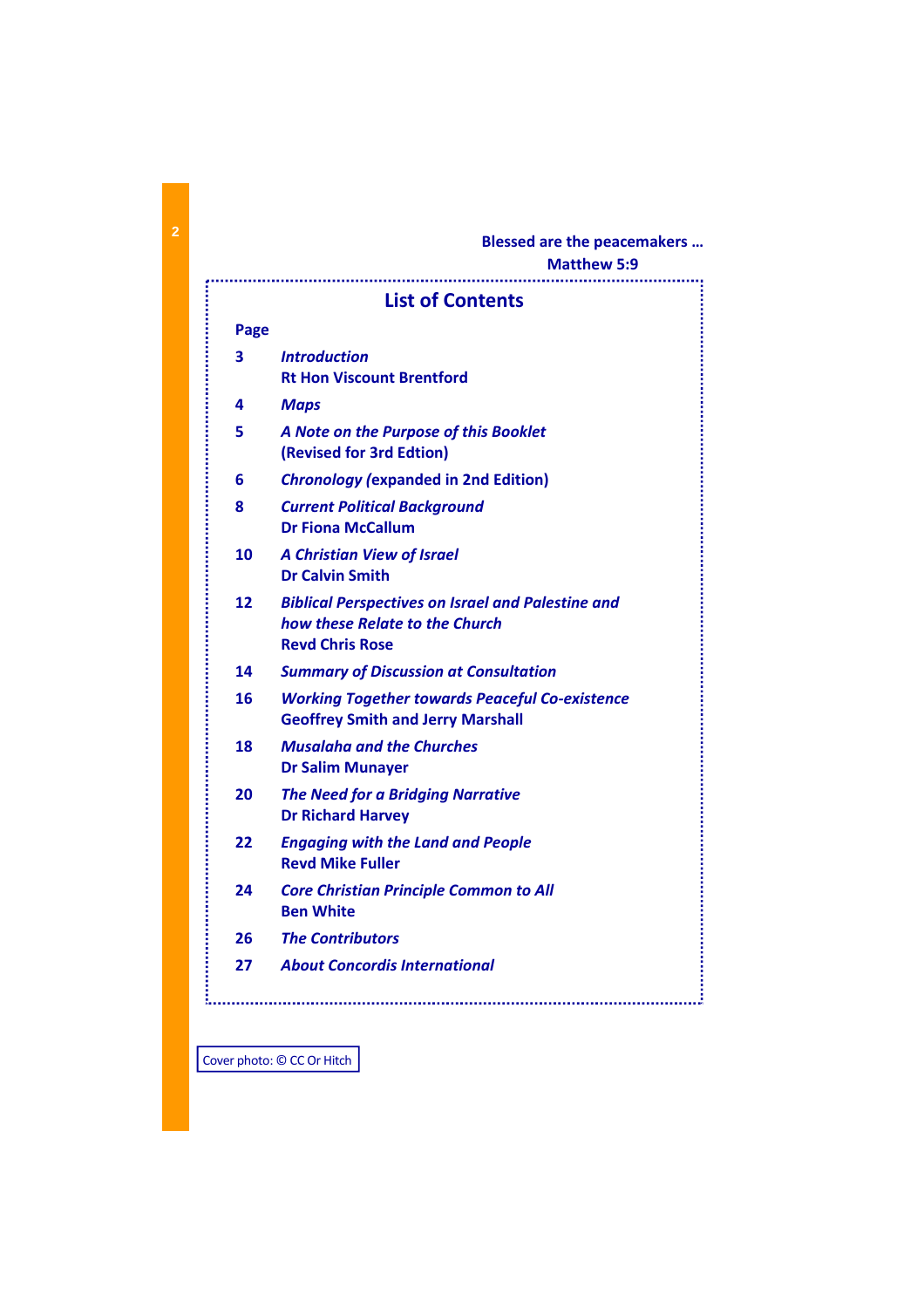## **Blessed are the peacemakers …**

# **Matthew 5:9**

in a second component of the second component of the second component of the second component of the second component of the second contract of the second contract of the second contract of the second contract of the secon

# **List of Contents**

## **Page**

| 4<br>5<br>6<br>8<br>10 | <b>Maps</b><br>A Note on the Purpose of this Booklet<br>(Revised for 3rd Edtion)<br><b>Chronology (expanded in 2nd Edition)</b><br><b>Current Political Background</b><br><b>Dr Fiona McCallum</b><br><b>A Christian View of Israel</b><br><b>Dr Calvin Smith</b> |
|------------------------|-------------------------------------------------------------------------------------------------------------------------------------------------------------------------------------------------------------------------------------------------------------------|
|                        |                                                                                                                                                                                                                                                                   |
|                        |                                                                                                                                                                                                                                                                   |
|                        |                                                                                                                                                                                                                                                                   |
|                        |                                                                                                                                                                                                                                                                   |
|                        |                                                                                                                                                                                                                                                                   |
| 12                     | <b>Biblical Perspectives on Israel and Palestine and</b><br>how these Relate to the Church<br><b>Revd Chris Rose</b>                                                                                                                                              |
| 14                     | <b>Summary of Discussion at Consultation</b>                                                                                                                                                                                                                      |
| 16                     | <b>Working Together towards Peaceful Co-existence</b><br><b>Geoffrey Smith and Jerry Marshall</b>                                                                                                                                                                 |
| 18                     | <b>Musalaha and the Churches</b><br><b>Dr Salim Munayer</b>                                                                                                                                                                                                       |
| 20                     | <b>The Need for a Bridging Narrative</b><br><b>Dr Richard Harvey</b>                                                                                                                                                                                              |
| 22                     | <b>Engaging with the Land and People</b><br><b>Revd Mike Fuller</b>                                                                                                                                                                                               |
| 24                     | <b>Core Christian Principle Common to All</b><br><b>Ben White</b>                                                                                                                                                                                                 |
| 26                     | <b>The Contributors</b>                                                                                                                                                                                                                                           |
| 27                     | <b>About Concordis International</b>                                                                                                                                                                                                                              |
|                        |                                                                                                                                                                                                                                                                   |
|                        |                                                                                                                                                                                                                                                                   |

Cover photo: © CC Or Hitch

Ŧ.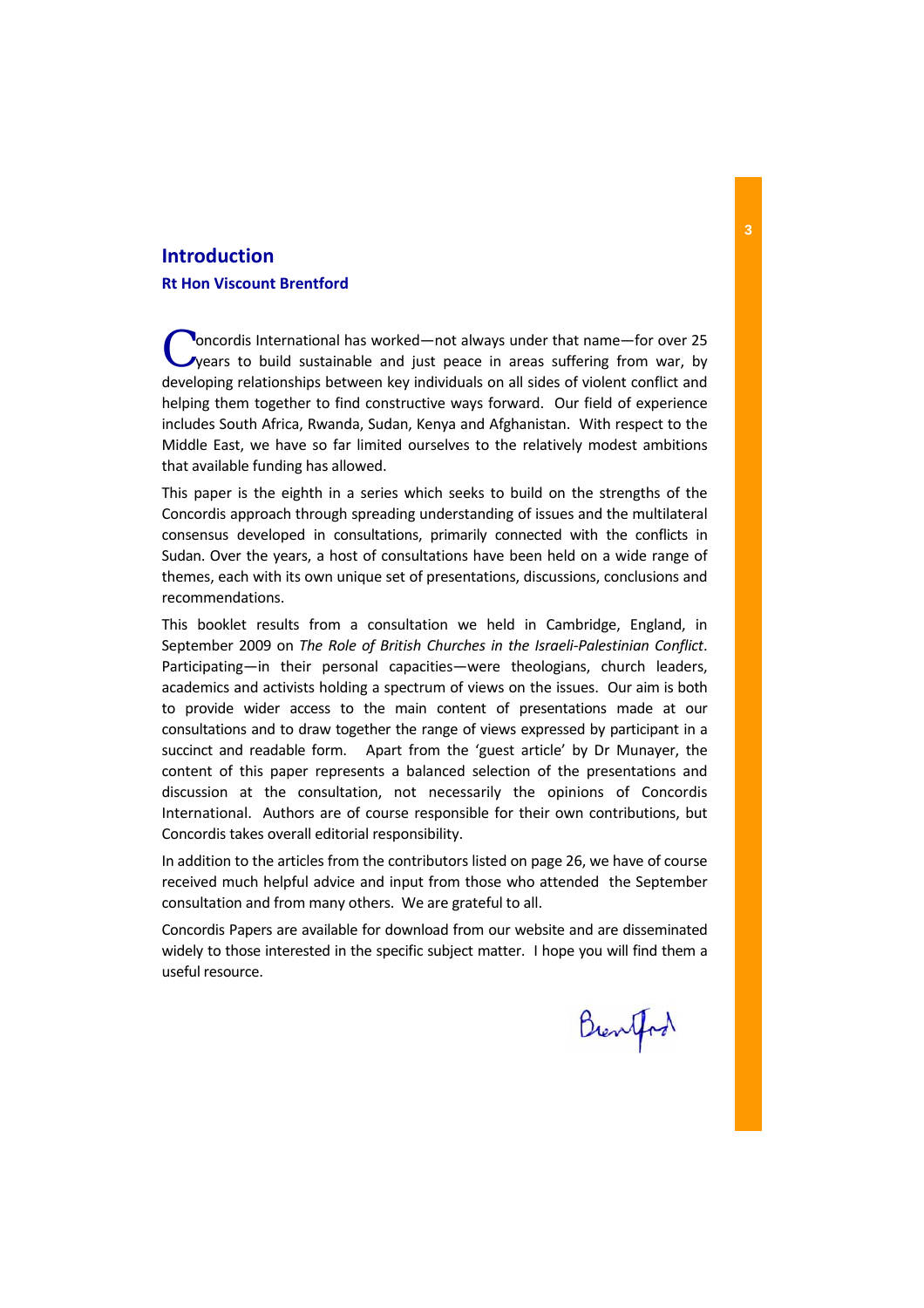## **Introduction**

### **Rt Hon Viscount Brentford**

C oncordis International has worked—not always under that name—for over 25<br>
years to build sustainable and just peace in areas suffering from war, by developing relationships between key individuals on all sides of violent conflict and helping them together to find constructive ways forward. Our field of experience includes South Africa, Rwanda, Sudan, Kenya and Afghanistan. With respect to the Middle East, we have so far limited ourselves to the relatively modest ambitions that available funding has allowed.

This paper is the eighth in a series which seeks to build on the strengths of the Concordis approach through spreading understanding of issues and the multilateral consensus developed in consultations, primarily connected with the conflicts in Sudan. Over the years, a host of consultations have been held on a wide range of themes, each with its own unique set of presentations, discussions, conclusions and recommendations.

This booklet results from a consultation we held in Cambridge, England, in September 2009 on *The Role of British Churches in the Israeli‐Palestinian Conflict*. Participating—in their personal capacities—were theologians, church leaders, academics and activists holding a spectrum of views on the issues. Our aim is both to provide wider access to the main content of presentations made at our consultations and to draw together the range of views expressed by participant in a succinct and readable form. Apart from the 'guest article' by Dr Munayer, the content of this paper represents a balanced selection of the presentations and discussion at the consultation, not necessarily the opinions of Concordis International. Authors are of course responsible for their own contributions, but Concordis takes overall editorial responsibility.

In addition to the articles from the contributors listed on page 26, we have of course received much helpful advice and input from those who attended the September consultation and from many others. We are grateful to all.

Concordis Papers are available for download from our website and are disseminated widely to those interested in the specific subject matter. I hope you will find them a useful resource.

Brentford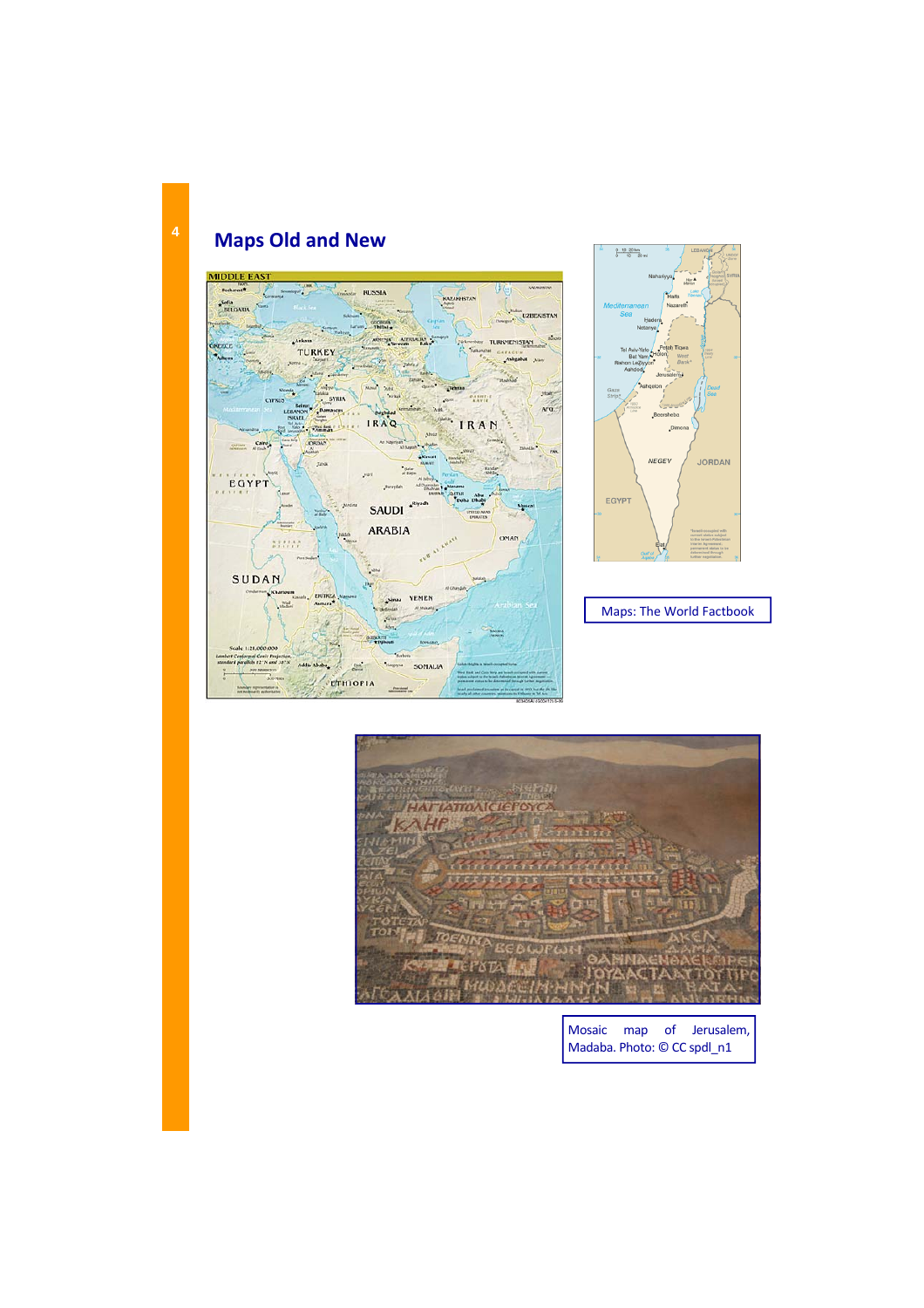# **Maps Old and New**





Maps: The World Factbook



Mosaic map of Jerusalem, Madaba. Photo: © CC spdl\_n1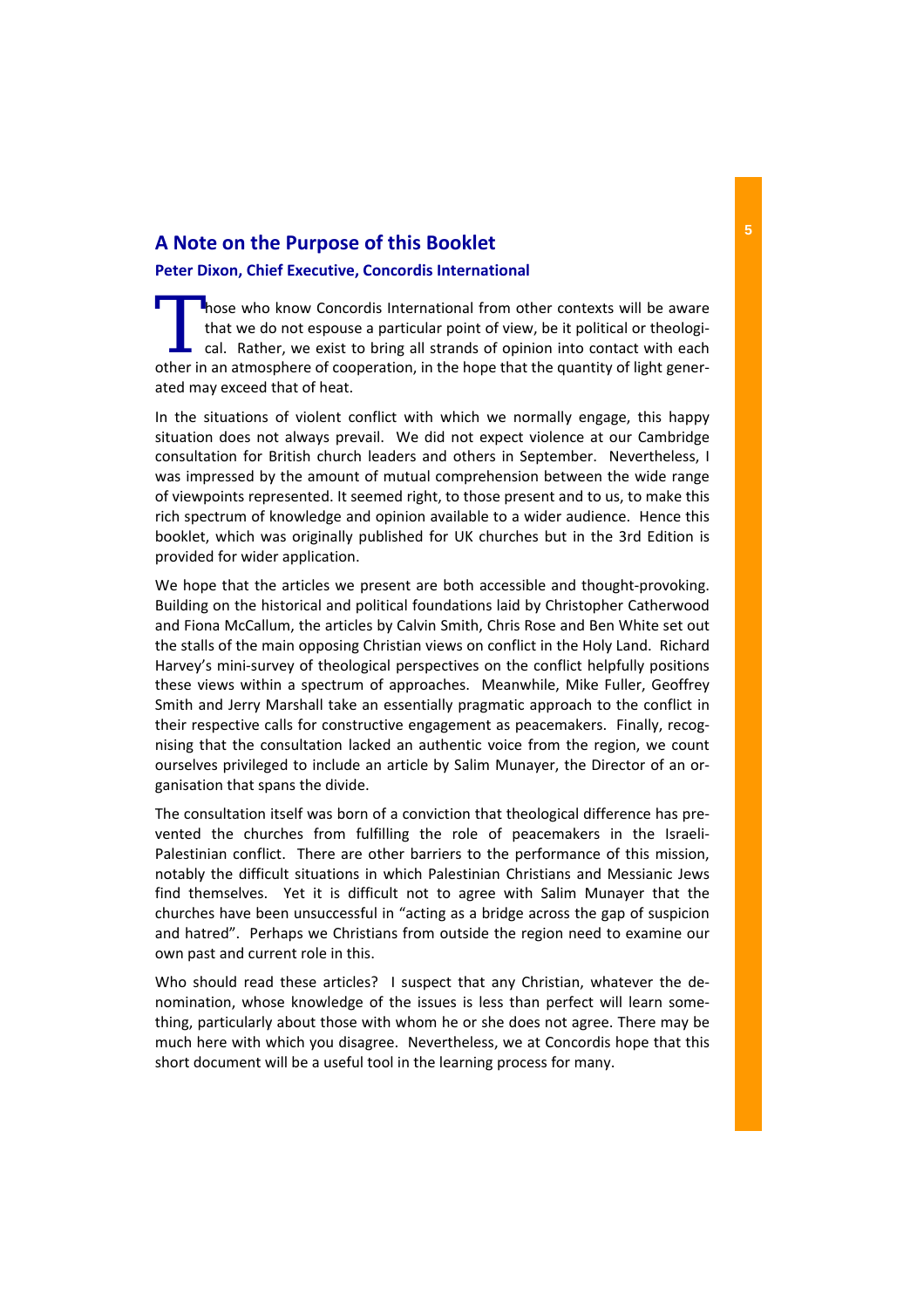# **A Note on the Purpose of this Booklet**

## **Peter Dixon, Chief Executive, Concordis International**

I hose who know Concordis International from other contexts will be aware that we do not espouse a particular point of view, be it political or theological. Rather, we exist to bring all strands of opinion into contact with each other in an atmosphere of cooperation, in the hope that the quantity of light gener‐ ated may exceed that of heat.

In the situations of violent conflict with which we normally engage, this happy situation does not always prevail. We did not expect violence at our Cambridge consultation for British church leaders and others in September. Nevertheless, I was impressed by the amount of mutual comprehension between the wide range of viewpoints represented. It seemed right, to those present and to us, to make this rich spectrum of knowledge and opinion available to a wider audience. Hence this booklet, which was originally published for UK churches but in the 3rd Edition is provided for wider application.

We hope that the articles we present are both accessible and thought-provoking. Building on the historical and political foundations laid by Christopher Catherwood and Fiona McCallum, the articles by Calvin Smith, Chris Rose and Ben White set out the stalls of the main opposing Christian views on conflict in the Holy Land. Richard Harvey's mini‐survey of theological perspectives on the conflict helpfully positions these views within a spectrum of approaches. Meanwhile, Mike Fuller, Geoffrey Smith and Jerry Marshall take an essentially pragmatic approach to the conflict in their respective calls for constructive engagement as peacemakers. Finally, recognising that the consultation lacked an authentic voice from the region, we count ourselves privileged to include an article by Salim Munayer, the Director of an or‐ ganisation that spans the divide.

The consultation itself was born of a conviction that theological difference has pre‐ vented the churches from fulfilling the role of peacemakers in the Israeli‐ Palestinian conflict. There are other barriers to the performance of this mission, notably the difficult situations in which Palestinian Christians and Messianic Jews find themselves. Yet it is difficult not to agree with Salim Munayer that the churches have been unsuccessful in "acting as a bridge across the gap of suspicion and hatred". Perhaps we Christians from outside the region need to examine our own past and current role in this.

Who should read these articles? I suspect that any Christian, whatever the denomination, whose knowledge of the issues is less than perfect will learn some‐ thing, particularly about those with whom he or she does not agree. There may be much here with which you disagree. Nevertheless, we at Concordis hope that this short document will be a useful tool in the learning process for many.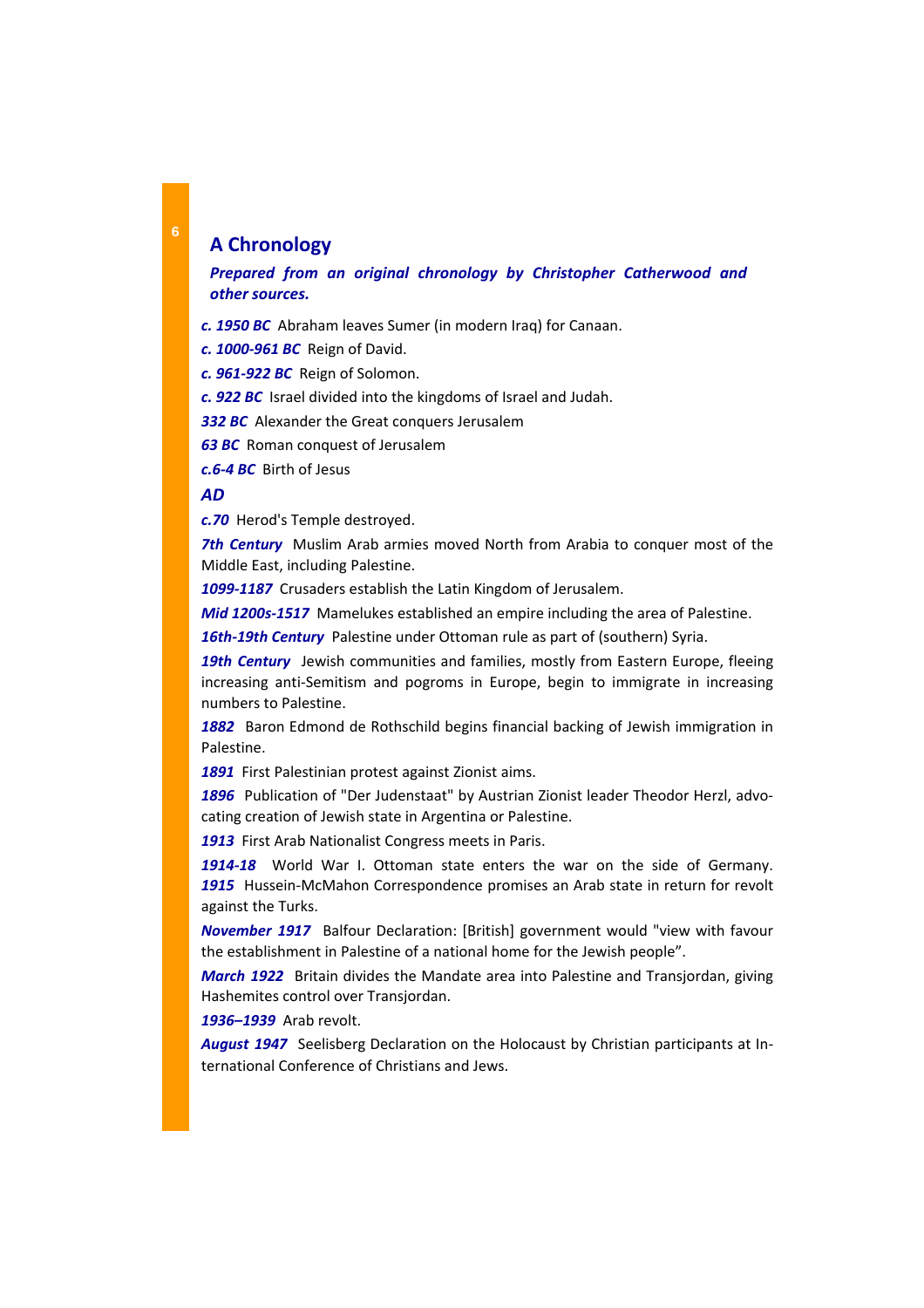# **A Chronology**

## *Prepared from an original chronology by Christopher Catherwood and other sources.*

*c. 1950 BC* Abraham leaves Sumer (in modern Iraq) for Canaan.

*c. 1000‐961 BC* Reign of David.

*c. 961‐922 BC* Reign of Solomon.

*c. 922 BC* Israel divided into the kingdoms of Israel and Judah.

**332 BC** Alexander the Great conquers Jerusalem

*63 BC* Roman conquest of Jerusalem

*c.6‐4 BC* Birth of Jesus

### *AD*

*c.70* Herod's Temple destroyed.

*7th Century* Muslim Arab armies moved North from Arabia to conquer most of the Middle East, including Palestine.

*1099‐1187* Crusaders establish the Latin Kingdom of Jerusalem.

*Mid 1200s‐1517* Mamelukes established an empire including the area of Palestine.

16th-19th Century Palestine under Ottoman rule as part of (southern) Syria.

**19th Century** Jewish communities and families, mostly from Eastern Europe, fleeing increasing anti‐Semitism and pogroms in Europe, begin to immigrate in increasing numbers to Palestine.

**1882** Baron Edmond de Rothschild begins financial backing of Jewish immigration in Palestine.

1891 First Palestinian protest against Zionist aims.

1896 Publication of "Der Judenstaat" by Austrian Zionist leader Theodor Herzl, advocating creation of Jewish state in Argentina or Palestine.

*1913* First Arab Nationalist Congress meets in Paris.

*1914‐18* World War I. Ottoman state enters the war on the side of Germany. *1915* Hussein‐McMahon Correspondence promises an Arab state in return for revolt against the Turks.

**November 1917** Balfour Declaration: [British] government would "view with favour the establishment in Palestine of a national home for the Jewish people".

*March 1922* Britain divides the Mandate area into Palestine and Transjordan, giving Hashemites control over Transjordan.

*1936–1939* Arab revolt.

*August 1947* Seelisberg Declaration on the Holocaust by Christian participants at In‐ ternational Conference of Christians and Jews.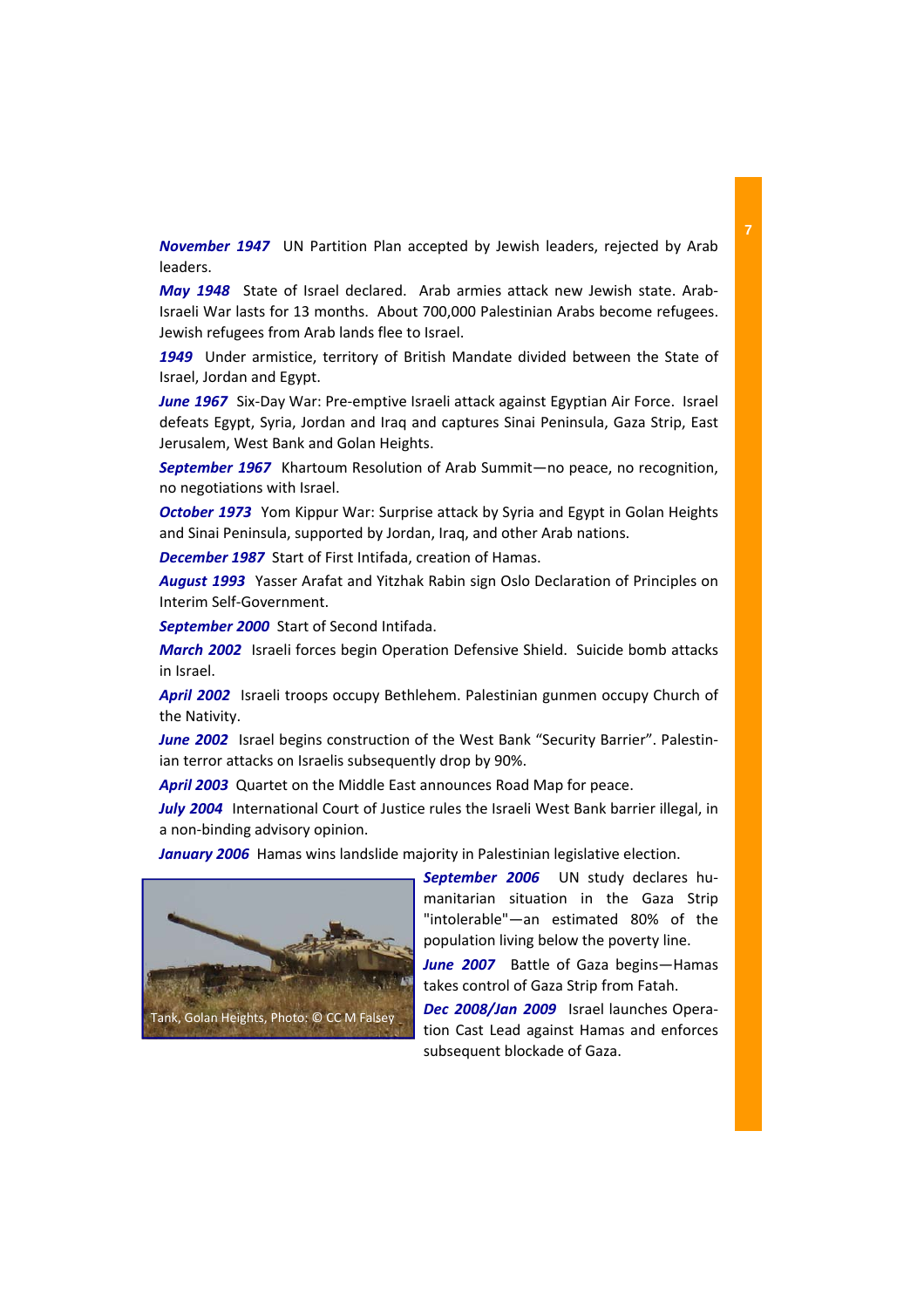*November 1947*  UN Partition Plan accepted by Jewish leaders, rejected by Arab leaders.

*May* 1948 State of Israel declared. Arab armies attack new Jewish state. Arab-Israeli War lasts for 13 months. About 700,000 Palestinian Arabs become refugees. Jewish refugees from Arab lands flee to Israel.

*1949* Under armistice, territory of British Mandate divided between the State of Israel, Jordan and Egypt.

*June* 1967 Six-Day War: Pre-emptive Israeli attack against Egyptian Air Force. Israel defeats Egypt, Syria, Jordan and Iraq and captures Sinai Peninsula, Gaza Strip, East Jerusalem, West Bank and Golan Heights.

**September 1967** Khartoum Resolution of Arab Summit—no peace, no recognition, no negotiations with Israel.

*October 1973* Yom Kippur War: Surprise attack by Syria and Egypt in Golan Heights and Sinai Peninsula, supported by Jordan, Iraq, and other Arab nations.

**December 1987** Start of First Intifada, creation of Hamas.

*August 1993* Yasser Arafat and Yitzhak Rabin sign Oslo Declaration of Principles on Interim Self‐Government.

**September 2000** Start of Second Intifada.

*March 2002* Israeli forces begin Operation Defensive Shield. Suicide bomb attacks in Israel.

*April 2002* Israeli troops occupy Bethlehem. Palestinian gunmen occupy Church of the Nativity.

*June* 2002 Israel begins construction of the West Bank "Security Barrier". Palestinian terror attacks on Israelis subsequently drop by 90%.

April 2003 Quartet on the Middle East announces Road Map for peace.

July 2004 International Court of Justice rules the Israeli West Bank barrier illegal, in a non‐binding advisory opinion.

January 2006 Hamas wins landslide majority in Palestinian legislative election.



*September 2006*  UN study declares hu‐ manitarian situation in the Gaza Strip "intolerable"—an estimated 80% of the population living below the poverty line.

*June 2007*  Battle of Gaza begins—Hamas takes control of Gaza Strip from Fatah.

*Dec 2008/Jan 2009*  Israel launches Opera‐ tion Cast Lead against Hamas and enforces subsequent blockade of Gaza.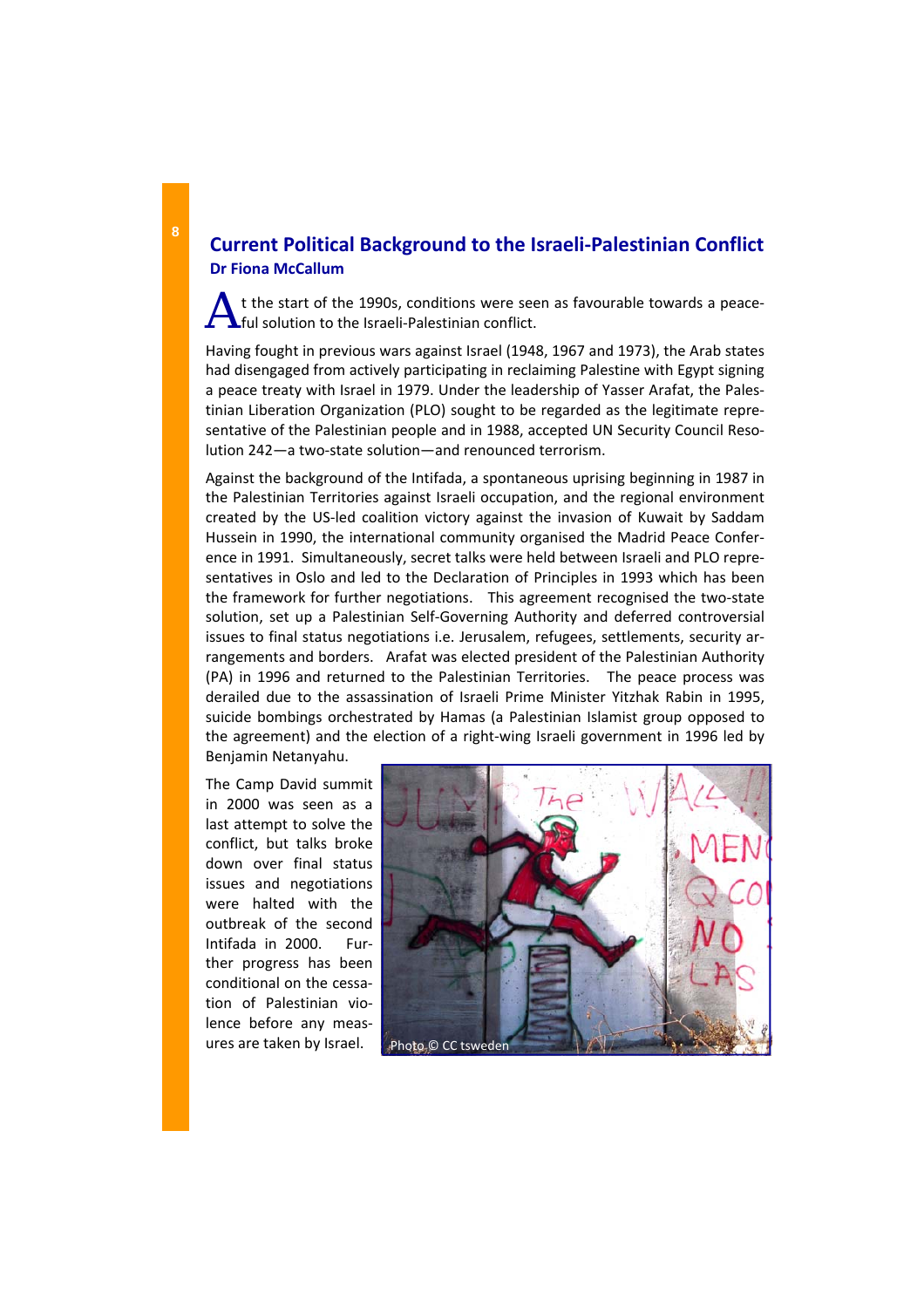# **Current Political Background to the Israeli‐Palestinian Conflict Dr Fiona McCallum**

t the start of the 1990s, conditions were seen as favourable towards a peaceful solution to the Israeli‐Palestinian conflict.

Having fought in previous wars against Israel (1948, 1967 and 1973), the Arab states had disengaged from actively participating in reclaiming Palestine with Egypt signing a peace treaty with Israel in 1979. Under the leadership of Yasser Arafat, the Pales‐ tinian Liberation Organization (PLO) sought to be regarded as the legitimate repre‐ sentative of the Palestinian people and in 1988, accepted UN Security Council Resolution 242—a two‐state solution—and renounced terrorism.

Against the background of the Intifada, a spontaneous uprising beginning in 1987 in the Palestinian Territories against Israeli occupation, and the regional environment created by the US‐led coalition victory against the invasion of Kuwait by Saddam Hussein in 1990, the international community organised the Madrid Peace Confer‐ ence in 1991. Simultaneously, secret talks were held between Israeli and PLO repre‐ sentatives in Oslo and led to the Declaration of Principles in 1993 which has been the framework for further negotiations. This agreement recognised the two‐state solution, set up a Palestinian Self‐Governing Authority and deferred controversial issues to final status negotiations i.e. Jerusalem, refugees, settlements, security ar‐ rangements and borders. Arafat was elected president of the Palestinian Authority (PA) in 1996 and returned to the Palestinian Territories. The peace process was derailed due to the assassination of Israeli Prime Minister Yitzhak Rabin in 1995, suicide bombings orchestrated by Hamas (a Palestinian Islamist group opposed to the agreement) and the election of a right-wing Israeli government in 1996 led by Benjamin Netanyahu.

The Camp David summit in 2000 was seen as a last attempt to solve the conflict, but talks broke down over final status issues and negotiations were halted with the outbreak of the second Intifada in 2000. Fur‐ ther progress has been conditional on the cessa‐ tion of Palestinian vio‐ lence before any meas‐ ures are taken by Israel. Photo © CC tsweden

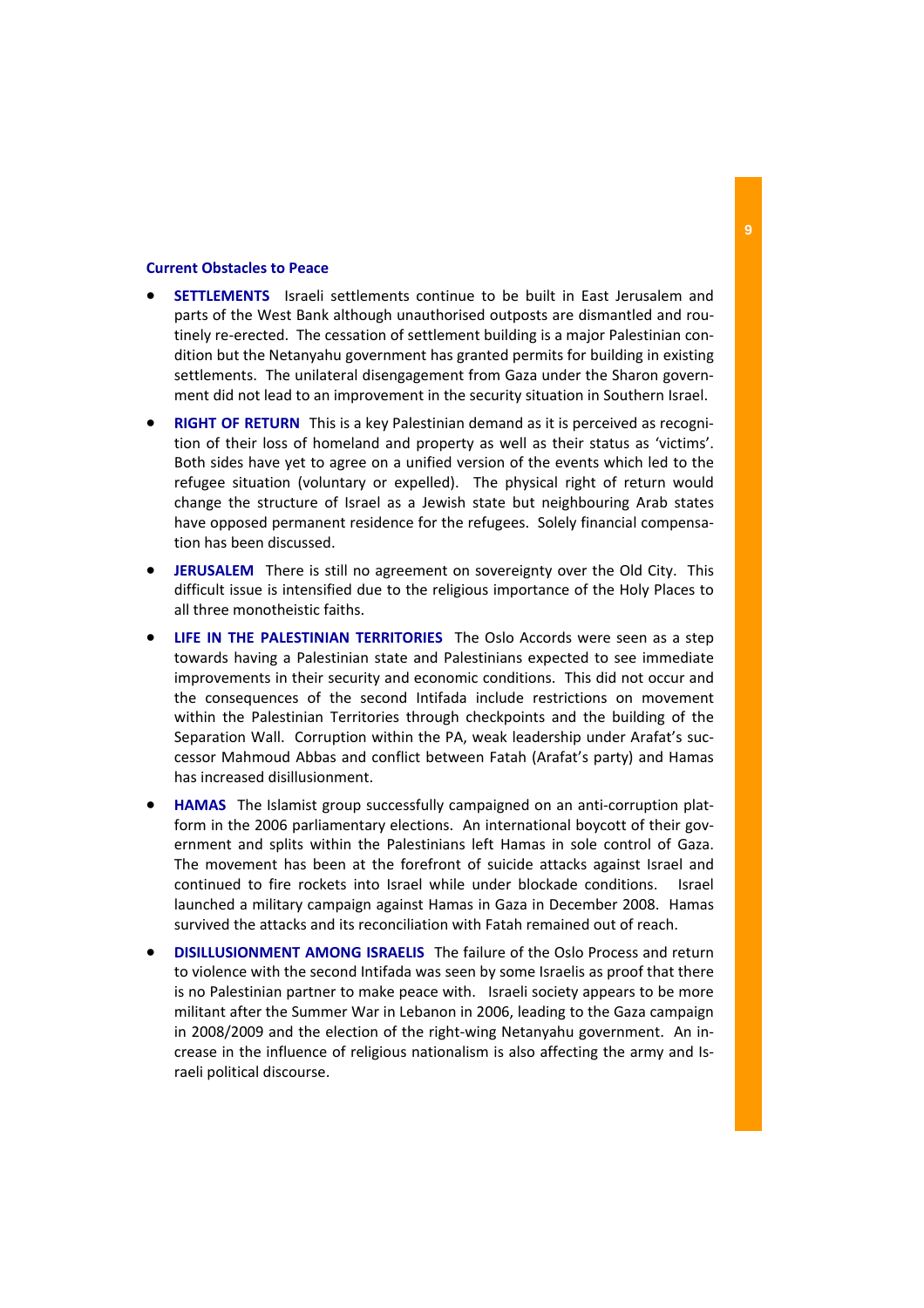### **Current Obstacles to Peace**

- **SETTLEMENTS** Israeli settlements continue to be built in East Jerusalem and parts of the West Bank although unauthorised outposts are dismantled and rou‐ tinely re‐erected. The cessation of settlement building is a major Palestinian con‐ dition but the Netanyahu government has granted permits for building in existing settlements. The unilateral disengagement from Gaza under the Sharon govern‐ ment did not lead to an improvement in the security situation in Southern Israel.
- **RIGHT OF RETURN** This is a key Palestinian demand as it is perceived as recogni‐ tion of their loss of homeland and property as well as their status as 'victims'. Both sides have yet to agree on a unified version of the events which led to the refugee situation (voluntary or expelled). The physical right of return would change the structure of Israel as a Jewish state but neighbouring Arab states have opposed permanent residence for the refugees. Solely financial compensation has been discussed.
- **JERUSALEM** There is still no agreement on sovereignty over the Old City. This difficult issue is intensified due to the religious importance of the Holy Places to all three monotheistic faiths.
- **LIFE IN THE PALESTINIAN TERRITORIES**  The Oslo Accords were seen as a step towards having a Palestinian state and Palestinians expected to see immediate improvements in their security and economic conditions. This did not occur and the consequences of the second Intifada include restrictions on movement within the Palestinian Territories through checkpoints and the building of the Separation Wall. Corruption within the PA, weak leadership under Arafat's suc‐ cessor Mahmoud Abbas and conflict between Fatah (Arafat's party) and Hamas has increased disillusionment.
- **HAMAS** The Islamist group successfully campaigned on an anti-corruption platform in the 2006 parliamentary elections. An international boycott of their government and splits within the Palestinians left Hamas in sole control of Gaza. The movement has been at the forefront of suicide attacks against Israel and continued to fire rockets into Israel while under blockade conditions. Israel launched a military campaign against Hamas in Gaza in December 2008. Hamas survived the attacks and its reconciliation with Fatah remained out of reach.
- **DISILLUSIONMENT AMONG ISRAELIS** The failure of the Oslo Process and return to violence with the second Intifada was seen by some Israelis as proof that there is no Palestinian partner to make peace with. Israeli society appears to be more militant after the Summer War in Lebanon in 2006, leading to the Gaza campaign in 2008/2009 and the election of the right-wing Netanyahu government. An increase in the influence of religious nationalism is also affecting the army and Is‐ raeli political discourse.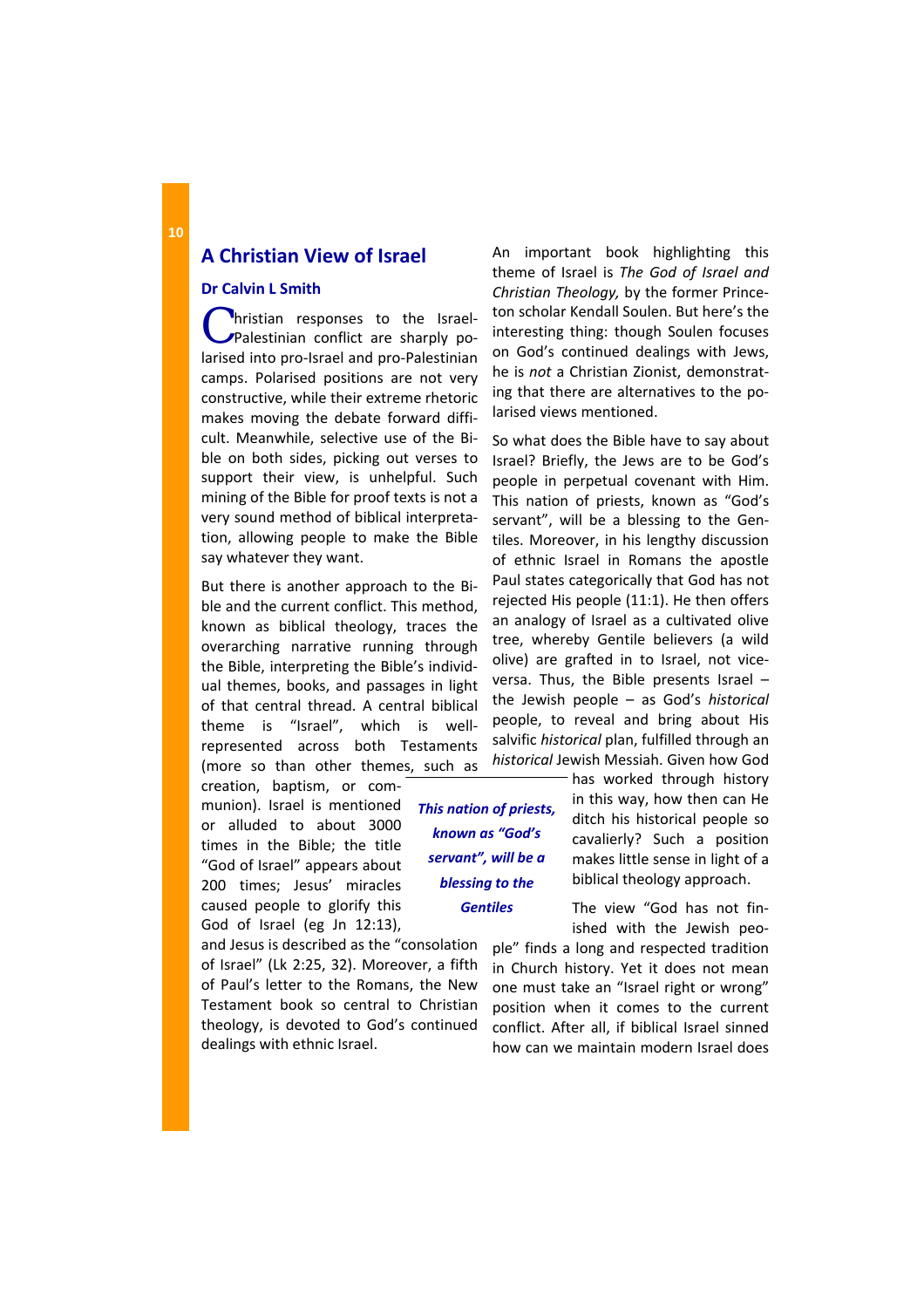## **A Christian View of Israel**

### **Dr Calvin L Smith**

C hristian responses to the Israellarised into pro‐Israel and pro‐Palestinian camps. Polarised positions are not very constructive, while their extreme rhetoric makes moving the debate forward diffi‐ cult. Meanwhile, selective use of the Bi‐ ble on both sides, picking out verses to support their view, is unhelpful. Such mining of the Bible for proof texts is not a very sound method of biblical interpreta‐ tion, allowing people to make the Bible say whatever they want.

But there is another approach to the Bi‐ ble and the current conflict. This method, known as biblical theology, traces the overarching narrative running through the Bible, interpreting the Bible's individ‐ ual themes, books, and passages in light of that central thread. A central biblical theme is "Israel", which is well‐ represented across both Testaments (more so than other themes, such as

creation, baptism, or com‐ munion). Israel is mentioned or alluded to about 3000 times in the Bible; the title "God of Israel" appears about 200 times; Jesus' miracles caused people to glorify this God of Israel (eg Jn 12:13),

and Jesus is described as the "consolation of Israel" (Lk 2:25, 32). Moreover, a fifth of Paul's letter to the Romans, the New Testament book so central to Christian theology, is devoted to God's continued dealings with ethnic Israel.

An important book highlighting this theme of Israel is *The God of Israel and Christian Theology,* by the former Prince‐ ton scholar Kendall Soulen. But here's the interesting thing: though Soulen focuses on God's continued dealings with Jews, he is *not* a Christian Zionist, demonstrat‐ ing that there are alternatives to the po‐ larised views mentioned.

So what does the Bible have to say about Israel? Briefly, the Jews are to be God's people in perpetual covenant with Him. This nation of priests, known as "God's servant", will be a blessing to the Gentiles. Moreover, in his lengthy discussion of ethnic Israel in Romans the apostle Paul states categorically that God has not rejected His people (11:1). He then offers an analogy of Israel as a cultivated olive tree, whereby Gentile believers (a wild olive) are grafted in to Israel, not vice‐ versa. Thus, the Bible presents Israel – the Jewish people – as God's *historical* people, to reveal and bring about His salvific *historical* plan, fulfilled through an *historical* Jewish Messiah. Given how God

*This nation of priests, known as "God's servant", will be a blessing to the Gentiles*

has worked through history in this way, how then can He ditch his historical people so cavalierly? Such a position makes little sense in light of a biblical theology approach.

The view "God has not fin‐ ished with the Jewish peo‐

ple" finds a long and respected tradition in Church history. Yet it does not mean one must take an "Israel right or wrong" position when it comes to the current conflict. After all, if biblical Israel sinned how can we maintain modern Israel does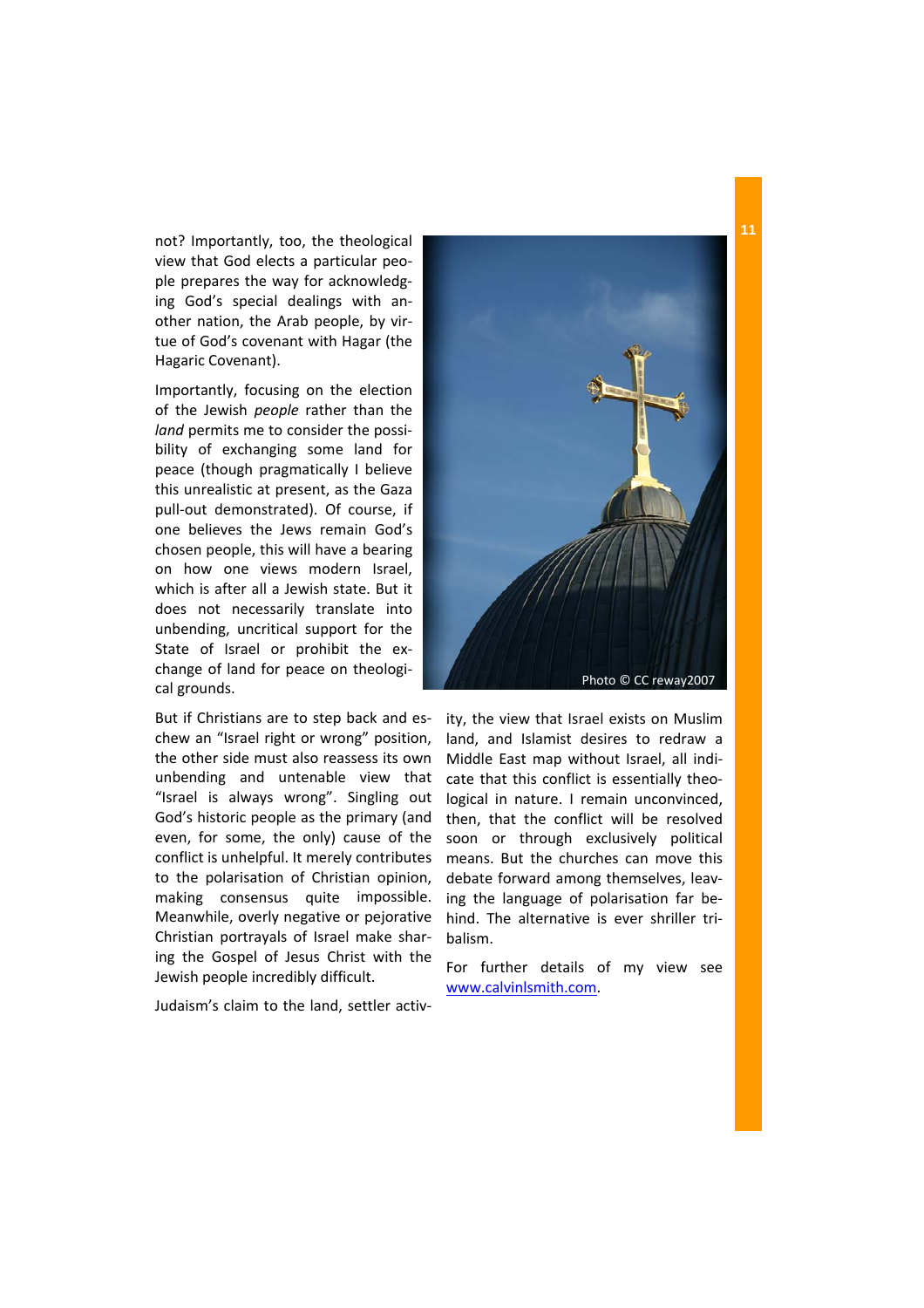not? Importantly, too, the theological view that God elects a particular peo‐ ple prepares the way for acknowledg‐ ing God's special dealings with an‐ other nation, the Arab people, by vir‐ tue of God's covenant with Hagar (the Hagaric Covenant).

Importantly, focusing on the election of the Jewish *people* rather than the *land* permits me to consider the possi‐ bility of exchanging some land for peace (though pragmatically I believe this unrealistic at present, as the Gaza pull‐out demonstrated). Of course, if one believes the Jews remain God's chosen people, this will have a bearing on how one views modern Israel, which is after all a Jewish state. But it does not necessarily translate into unbending, uncritical support for the State of Israel or prohibit the exchange of land for peace on theologi‐ cal grounds.

But if Christians are to step back and es‐ chew an "Israel right or wrong" position, the other side must also reassess its own unbending and untenable view that "Israel is always wrong". Singling out God's historic people as the primary (and even, for some, the only) cause of the conflict is unhelpful. It merely contributes to the polarisation of Christian opinion, making consensus quite impossible. Meanwhile, overly negative or pejorative Christian portrayals of Israel make shar‐ ing the Gospel of Jesus Christ with the Jewish people incredibly difficult.

Judaism's claim to the land, settler activ‐



ity, the view that Israel exists on Muslim land, and Islamist desires to redraw a Middle East map without Israel, all indi‐ cate that this conflict is essentially theological in nature. I remain unconvinced, then, that the conflict will be resolved soon or through exclusively political means. But the churches can move this debate forward among themselves, leav‐ ing the language of polarisation far be‐ hind. The alternative is ever shriller tri‐ balism.

For further details of my view see www.calvinlsmith.com.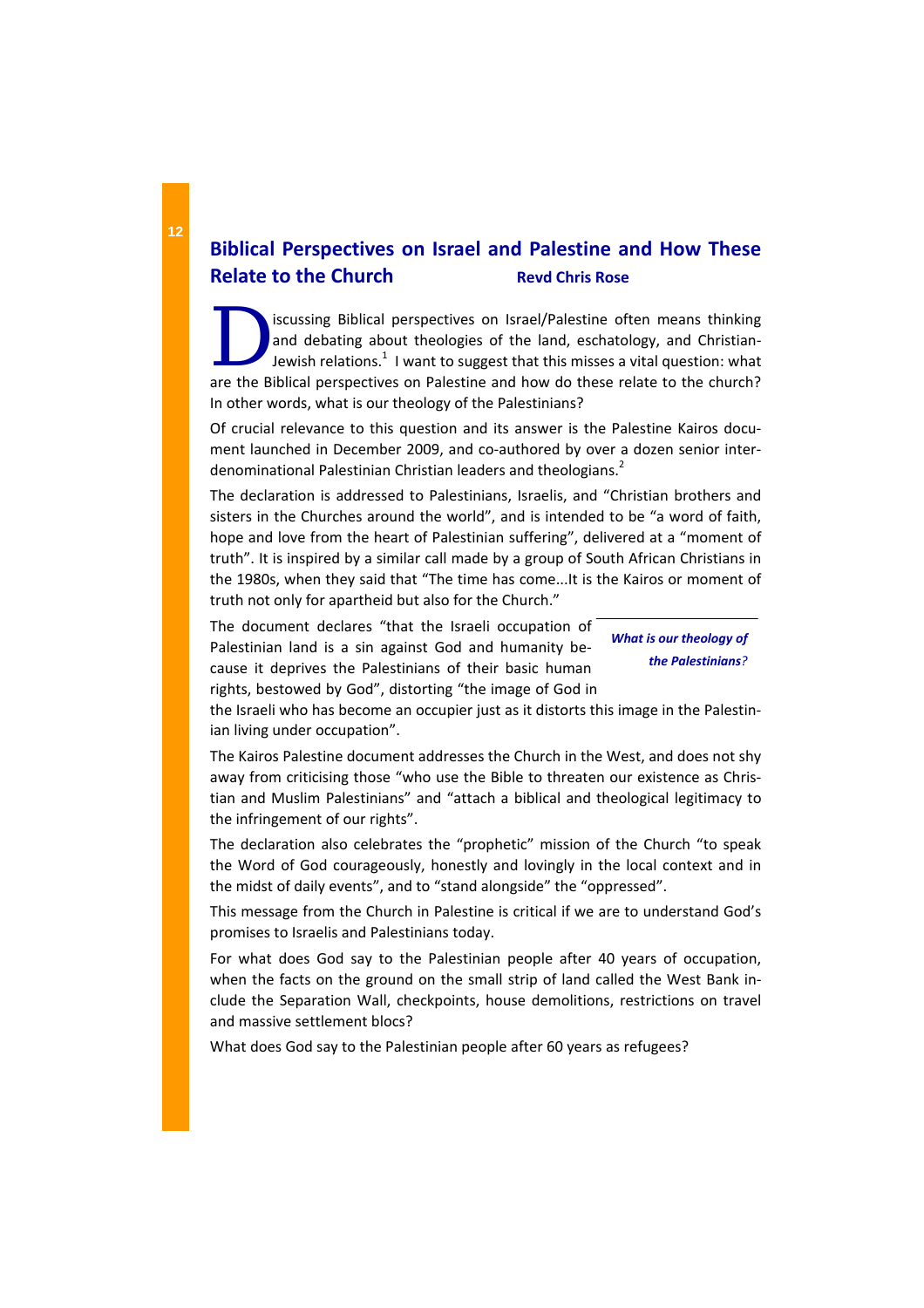# **Biblical Perspectives on Israel and Palestine and How These Relate to the Church Revd Chris Rose**

ISCUSSING Biblical perspectives on Israel/Palestine often means thinking<br>and debating about theologies of the land, eschatology, and Christian-<br>Jewish relations.<sup>1</sup> I want to suggest that this misses a vital question: what and debating about theologies of the land, eschatology, and Christianare the Biblical perspectives on Palestine and how do these relate to the church? In other words, what is our theology of the Palestinians?

Of crucial relevance to this question and its answer is the Palestine Kairos docu‐ ment launched in December 2009, and co-authored by over a dozen senior interdenominational Palestinian Christian leaders and theologians.<sup>2</sup>

The declaration is addressed to Palestinians, Israelis, and "Christian brothers and sisters in the Churches around the world", and is intended to be "a word of faith, hope and love from the heart of Palestinian suffering", delivered at a "moment of truth". It is inspired by a similar call made by a group of South African Christians in the 1980s, when they said that "The time has come...It is the Kairos or moment of truth not only for apartheid but also for the Church."

The document declares "that the Israeli occupation of Palestinian land is a sin against God and humanity be‐ cause it deprives the Palestinians of their basic human rights, bestowed by God", distorting "the image of God in

*What is our theology of the Palestinians?*

the Israeli who has become an occupier just as it distorts this image in the Palestin‐ ian living under occupation".

The Kairos Palestine document addresses the Church in the West, and does not shy away from criticising those "who use the Bible to threaten our existence as Chris‐ tian and Muslim Palestinians" and "attach a biblical and theological legitimacy to the infringement of our rights".

The declaration also celebrates the "prophetic" mission of the Church "to speak the Word of God courageously, honestly and lovingly in the local context and in the midst of daily events", and to "stand alongside" the "oppressed".

This message from the Church in Palestine is critical if we are to understand God's promises to Israelis and Palestinians today.

For what does God say to the Palestinian people after 40 years of occupation, when the facts on the ground on the small strip of land called the West Bank include the Separation Wall, checkpoints, house demolitions, restrictions on travel and massive settlement blocs?

What does God say to the Palestinian people after 60 years as refugees?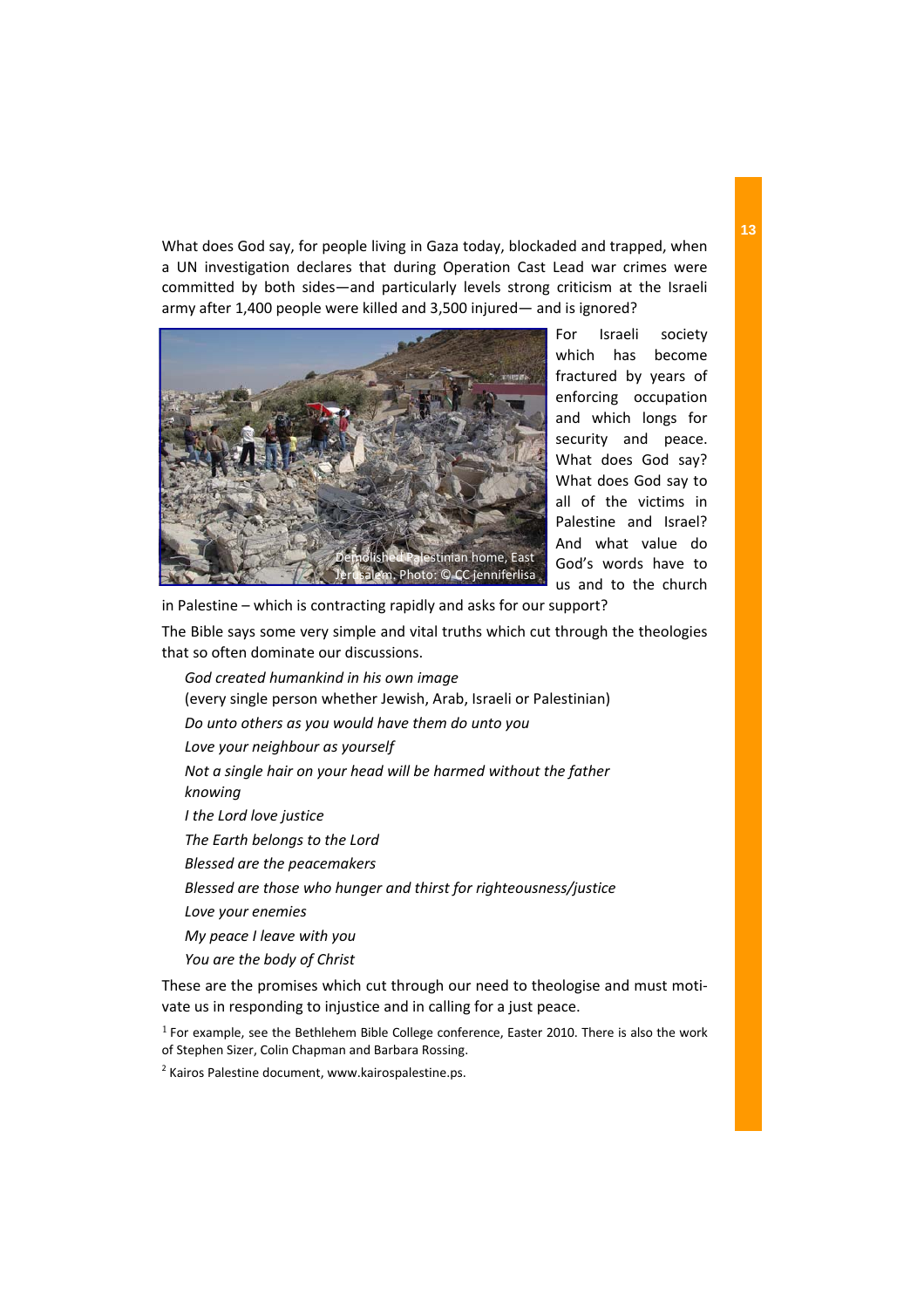What does God say, for people living in Gaza today, blockaded and trapped, when a UN investigation declares that during Operation Cast Lead war crimes were committed by both sides—and particularly levels strong criticism at the Israeli army after 1,400 people were killed and 3,500 injured— and is ignored?



For Israeli society which has become fractured by years of enforcing occupation and which longs for security and peace. What does God say? What does God say to all of the victims in Palestine and Israel? And what value do God's words have to us and to the church

in Palestine – which is contracting rapidly and asks for our support?

The Bible says some very simple and vital truths which cut through the theologies that so often dominate our discussions.

*God created humankind in his own image*  (every single person whether Jewish, Arab, Israeli or Palestinian) *Do unto others as you would have them do unto you Love your neighbour as yourself Not a single hair on your head will be harmed without the father knowing I the Lord love justice The Earth belongs to the Lord Blessed are the peacemakers Blessed are those who hunger and thirst for righteousness/justice Love your enemies My peace I leave with you You are the body of Christ* 

These are the promises which cut through our need to theologise and must moti‐ vate us in responding to injustice and in calling for a just peace.

 $<sup>1</sup>$  For example, see the Bethlehem Bible College conference, Easter 2010. There is also the work</sup> of Stephen Sizer, Colin Chapman and Barbara Rossing.

<sup>2</sup> Kairos Palestine document, www.kairospalestine.ps.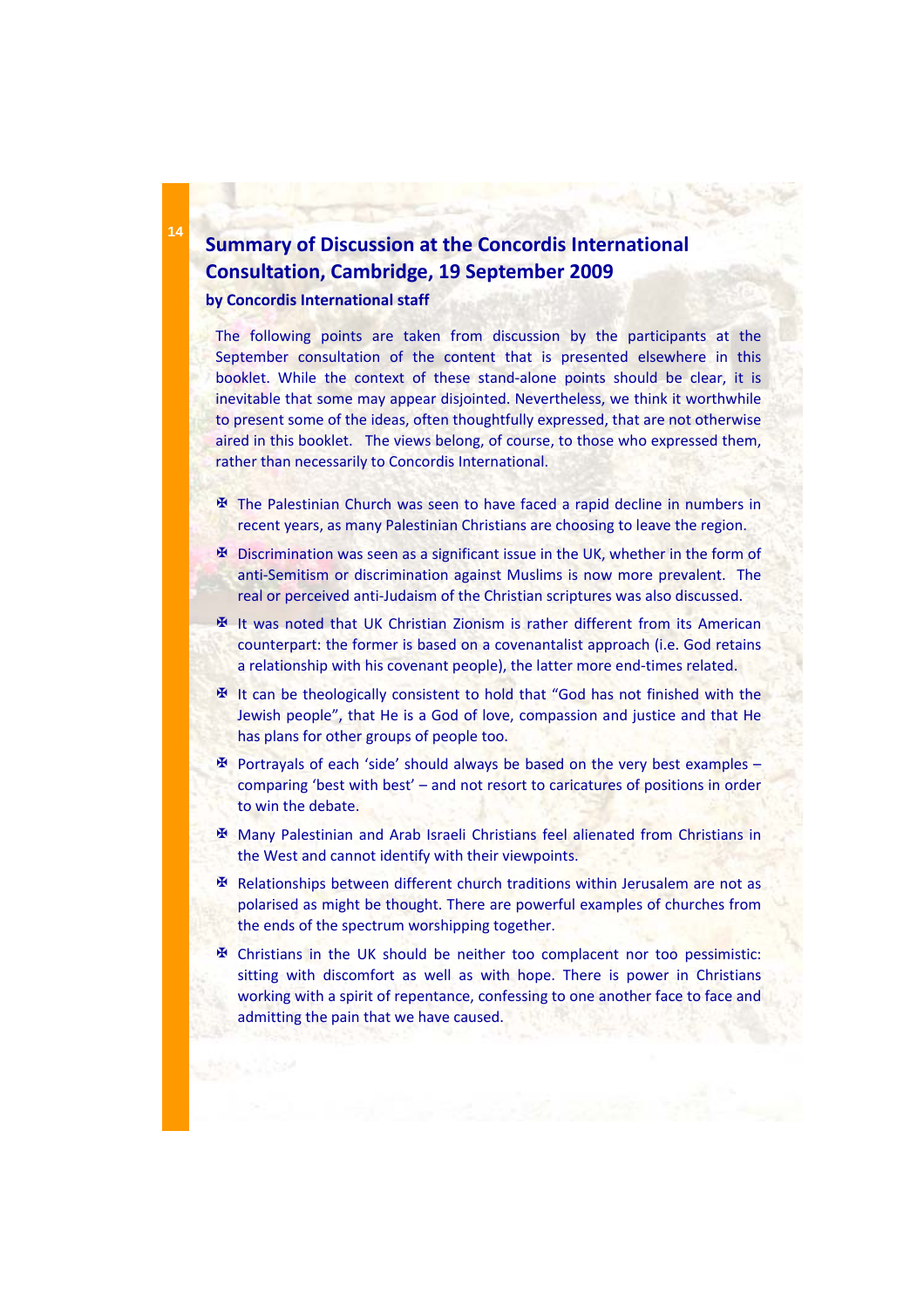# **Summary of Discussion at the Concordis International Consultation, Cambridge, 19 September 2009**

**by Concordis International staff**

The following points are taken from discussion by the participants at the September consultation of the content that is presented elsewhere in this booklet. While the context of these stand-alone points should be clear, it is inevitable that some may appear disjointed. Nevertheless, we think it worthwhile to present some of the ideas, often thoughtfully expressed, that are not otherwise aired in this booklet. The views belong, of course, to those who expressed them, rather than necessarily to Concordis International.

- $\mathbf{\mathcal{F}}$  The Palestinian Church was seen to have faced a rapid decline in numbers in recent years, as many Palestinian Christians are choosing to leave the region.
- $\mathbf{\mathbf{\Psi}}$  Discrimination was seen as a significant issue in the UK, whether in the form of anti‐Semitism or discrimination against Muslims is now more prevalent. The real or perceived anti-Judaism of the Christian scriptures was also discussed.
- ? It was noted that UK Christian Zionism is rather different from its American counterpart: the former is based on a covenantalist approach (i.e. God retains a relationship with his covenant people), the latter more end-times related.
- $\mathbf{\Psi}$  It can be theologically consistent to hold that "God has not finished with the Jewish people", that He is a God of love, compassion and justice and that He has plans for other groups of people too.
- $\mathbb F$  Portrayals of each 'side' should always be based on the very best examples comparing 'best with best' – and not resort to caricatures of positions in order to win the debate.
- ? Many Palestinian and Arab Israeli Christians feel alienated from Christians in the West and cannot identify with their viewpoints.
- $\mathbf{\mathfrak{B}}$  Relationships between different church traditions within Jerusalem are not as polarised as might be thought. There are powerful examples of churches from the ends of the spectrum worshipping together.
- $\mathbf{\mathfrak{B}}$  Christians in the UK should be neither too complacent nor too pessimistic: sitting with discomfort as well as with hope. There is power in Christians working with a spirit of repentance, confessing to one another face to face and admitting the pain that we have caused.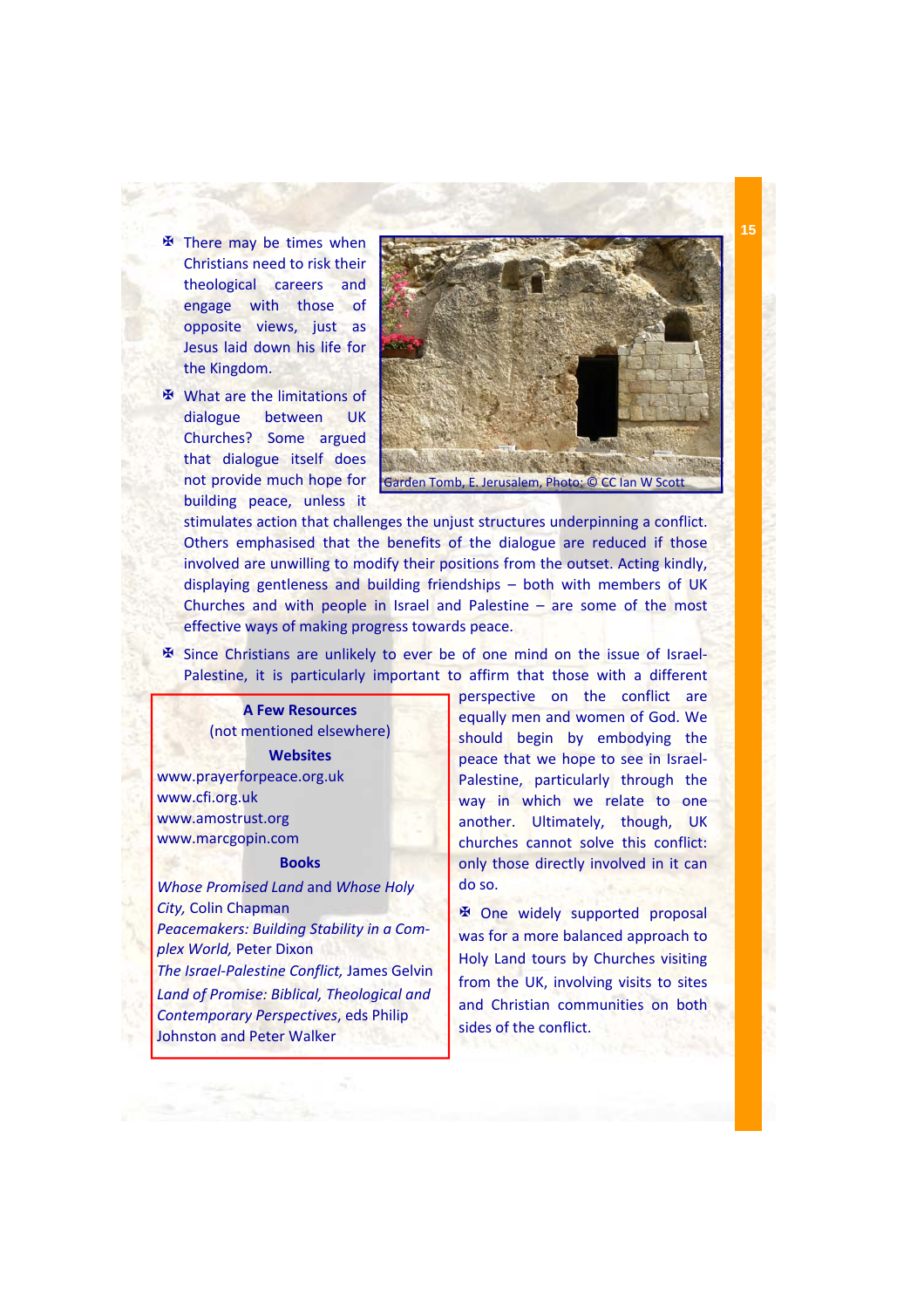- 图 There may be times when Christians need to risk their theological careers and engage with those of opposite views, just as Jesus laid down his life for the Kingdom.
- 图 What are the limitations of dialogue between UK Churches? Some argued that dialogue itself does not provide much hope for building peace, unless it



stimulates action that challenges the unjust structures underpinning a conflict. Others emphasised that the benefits of the dialogue are reduced if those involved are unwilling to modify their positions from the outset. Acting kindly, displaying gentleness and building friendships – both with members of UK Churches and with people in Israel and Palestine – are some of the most effective ways of making progress towards peace.

 $\mathbf{\mathbf{\Phi}}$  Since Christians are unlikely to ever be of one mind on the issue of Israel– Palestine, it is particularly important to affirm that those with a different

**A Few Resources**  (not mentioned elsewhere) **Websites** www.prayerforpeace.org.uk www.cfi.org.uk www.amostrust.org www.marcgopin.com

### **Books**

*Whose Promised Land* and *Whose Holy City,* Colin Chapman *Peacemakers: Building Stability in a Com‐ plex World,* Peter Dixon *The Israel‐Palestine Conflict,* James Gelvin *Land of Promise: Biblical, Theological and Contemporary Perspectives*, eds Philip Johnston and Peter Walker

perspective on the conflict are equally men and women of God. We should begin by embodying the peace that we hope to see in Israel‐ Palestine, particularly through the way in which we relate to one another. Ultimately, though, UK churches cannot solve this conflict: only those directly involved in it can do so.

**EX One widely supported proposal** was for a more balanced approach to Holy Land tours by Churches visiting from the UK, involving visits to sites and Christian communities on both sides of the conflict.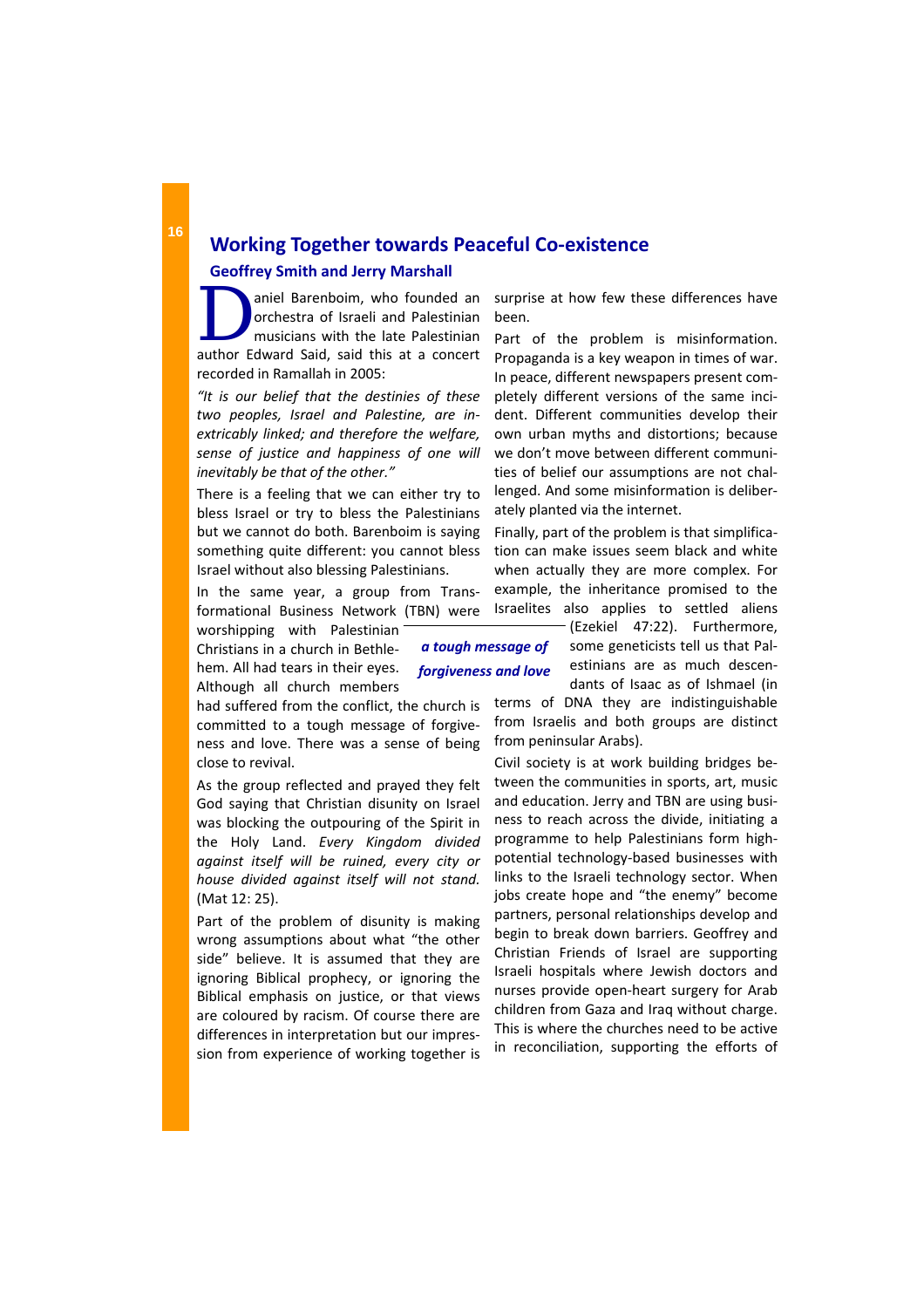# **Working Together towards Peaceful Co‐existence Geoffrey Smith and Jerry Marshall**

aniel Barenboim, who founded and<br>
orchestra of Israeli and Palestinian<br>
musicians with the late Palestinian orchestra of Israeli and Palestinian author Edward Said, said this at a concert recorded in Ramallah in 2005:

*"It is our belief that the destinies of these two peoples, Israel and Palestine, are in‐ extricably linked; and therefore the welfare, sense of justice and happiness of one will inevitably be that of the other."*

There is a feeling that we can either try to bless Israel or try to bless the Palestinians but we cannot do both. Barenboim is saying something quite different: you cannot bless Israel without also blessing Palestinians.

In the same year, a group from Trans‐ formational Business Network (TBN) were

worshipping with Palestinian Christians in a church in Bethle‐ hem. All had tears in their eyes. Although all church members

had suffered from the conflict, the church is committed to a tough message of forgive‐ ness and love. There was a sense of being close to revival.

As the group reflected and prayed they felt God saying that Christian disunity on Israel was blocking the outpouring of the Spirit in the Holy Land. *Every Kingdom divided against itself will be ruined, every city or house divided against itself will not stand.* (Mat 12: 25).

Part of the problem of disunity is making wrong assumptions about what "the other side" believe. It is assumed that they are ignoring Biblical prophecy, or ignoring the Biblical emphasis on justice, or that views are coloured by racism. Of course there are differences in interpretation but our impres‐ sion from experience of working together is surprise at how few these differences have been.

Part of the problem is misinformation. Propaganda is a key weapon in times of war. In peace, different newspapers present com‐ pletely different versions of the same inci‐ dent. Different communities develop their own urban myths and distortions; because we don't move between different communi‐ ties of belief our assumptions are not chal‐ lenged. And some misinformation is deliber‐ ately planted via the internet.

Finally, part of the problem is that simplifica‐ tion can make issues seem black and white when actually they are more complex. For example, the inheritance promised to the Israelites also applies to settled aliens

> (Ezekiel 47:22). Furthermore, some geneticists tell us that Pal‐ estinians are as much descen‐ dants of Isaac as of Ishmael (in

terms of DNA they are indistinguishable from Israelis and both groups are distinct from peninsular Arabs).

Civil society is at work building bridges be‐ tween the communities in sports, art, music and education. Jerry and TBN are using busi‐ ness to reach across the divide, initiating a programme to help Palestinians form high‐ potential technology‐based businesses with links to the Israeli technology sector. When jobs create hope and "the enemy" become partners, personal relationships develop and begin to break down barriers. Geoffrey and Christian Friends of Israel are supporting Israeli hospitals where Jewish doctors and nurses provide open‐heart surgery for Arab children from Gaza and Iraq without charge. This is where the churches need to be active in reconciliation, supporting the efforts of

*a tough message of forgiveness and love*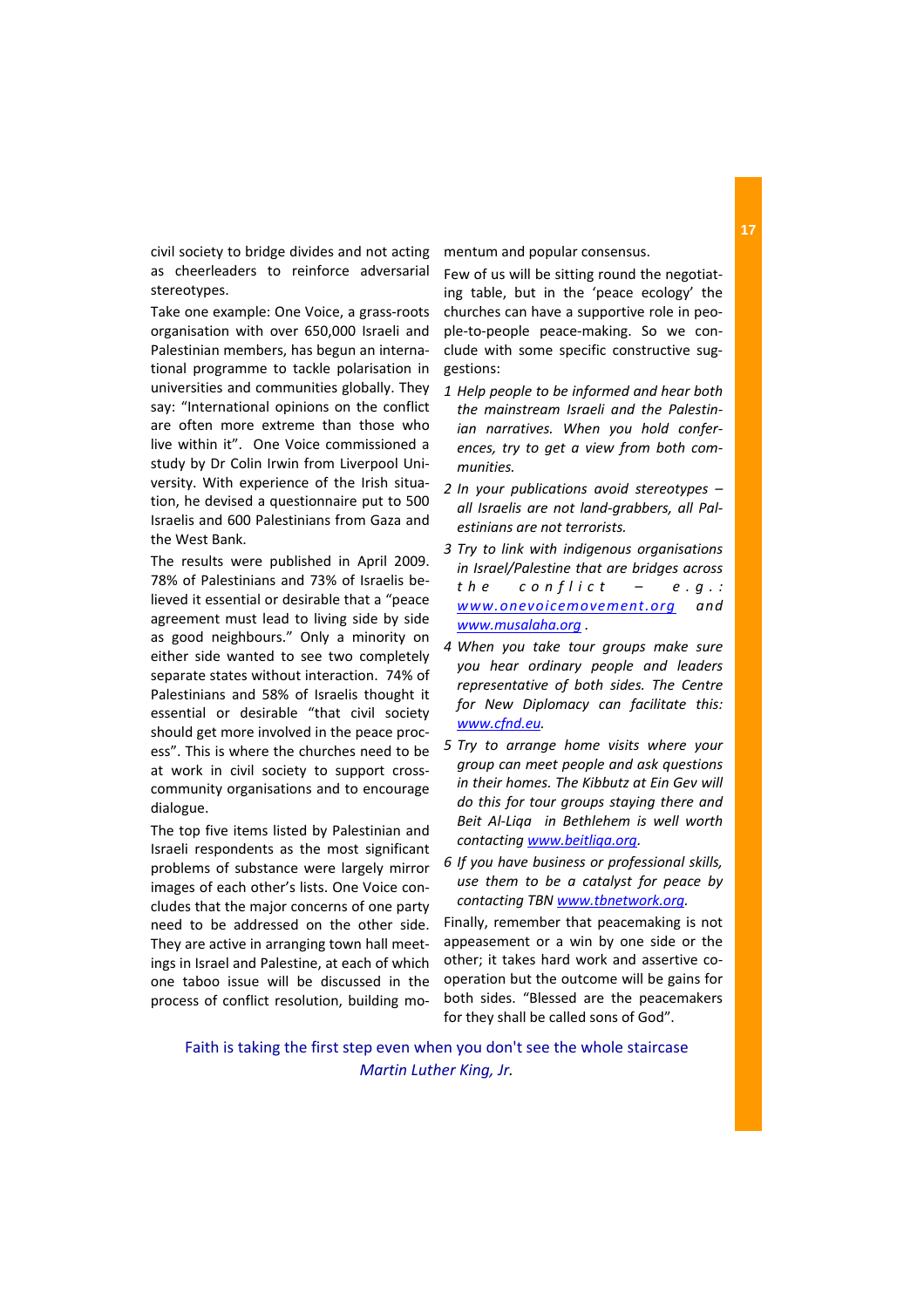civil society to bridge divides and not acting as cheerleaders to reinforce adversarial stereotypes.

Take one example: One Voice, a grass‐roots organisation with over 650,000 Israeli and Palestinian members, has begun an interna‐ tional programme to tackle polarisation in universities and communities globally. They say: "International opinions on the conflict are often more extreme than those who live within it". One Voice commissioned a study by Dr Colin Irwin from Liverpool Uni‐ versity. With experience of the Irish situa‐ tion, he devised a questionnaire put to 500 Israelis and 600 Palestinians from Gaza and the West Bank.

The results were published in April 2009. 78% of Palestinians and 73% of Israelis be‐ lieved it essential or desirable that a "peace agreement must lead to living side by side as good neighbours." Only a minority on either side wanted to see two completely separate states without interaction. 74% of Palestinians and 58% of Israelis thought it essential or desirable "that civil society should get more involved in the peace proc‐ ess". This is where the churches need to be at work in civil society to support cross‐ community organisations and to encourage dialogue.

The top five items listed by Palestinian and Israeli respondents as the most significant problems of substance were largely mirror images of each other's lists. One Voice con‐ cludes that the major concerns of one party need to be addressed on the other side. They are active in arranging town hall meet‐ ings in Israel and Palestine, at each of which one taboo issue will be discussed in the process of conflict resolution, building mo‐ mentum and popular consensus.

Few of us will be sitting round the negotiat‐ ing table, but in the 'peace ecology' the churches can have a supportive role in peo‐ ple‐to‐people peace‐making. So we con‐ clude with some specific constructive sug‐ gestions:

- *1 Help people to be informed and hear both the mainstream Israeli and the Palestin‐ ian narratives. When you hold confer‐ ences, try to get a view from both com‐ munities.*
- *2 In your publications avoid stereotypes – all Israelis are not land‐grabbers, all Pal‐ estinians are not terrorists.*
- *3 Try to link with indigenous organisations in Israel/Palestine that are bridges across the conflict – e.g.: www.onevoicemovement.org and www.musalaha.org .*
- *4 When you take tour groups make sure you hear ordinary people and leaders representative of both sides. The Centre for New Diplomacy can facilitate this: www.cfnd.eu.*
- *5 Try to arrange home visits where your group can meet people and ask questions in their homes. The Kibbutz at Ein Gev will do this for tour groups staying there and Beit Al‐Liqa in Bethlehem is well worth contacting www.beitliqa.org.*
- *6 If you have business or professional skills, use them to be a catalyst for peace by contacting TBN www.tbnetwork.org.*

Finally, remember that peacemaking is not appeasement or a win by one side or the other; it takes hard work and assertive co‐ operation but the outcome will be gains for both sides. "Blessed are the peacemakers for they shall be called sons of God".

Faith is taking the first step even when you don't see the whole staircase *Martin Luther King, Jr.*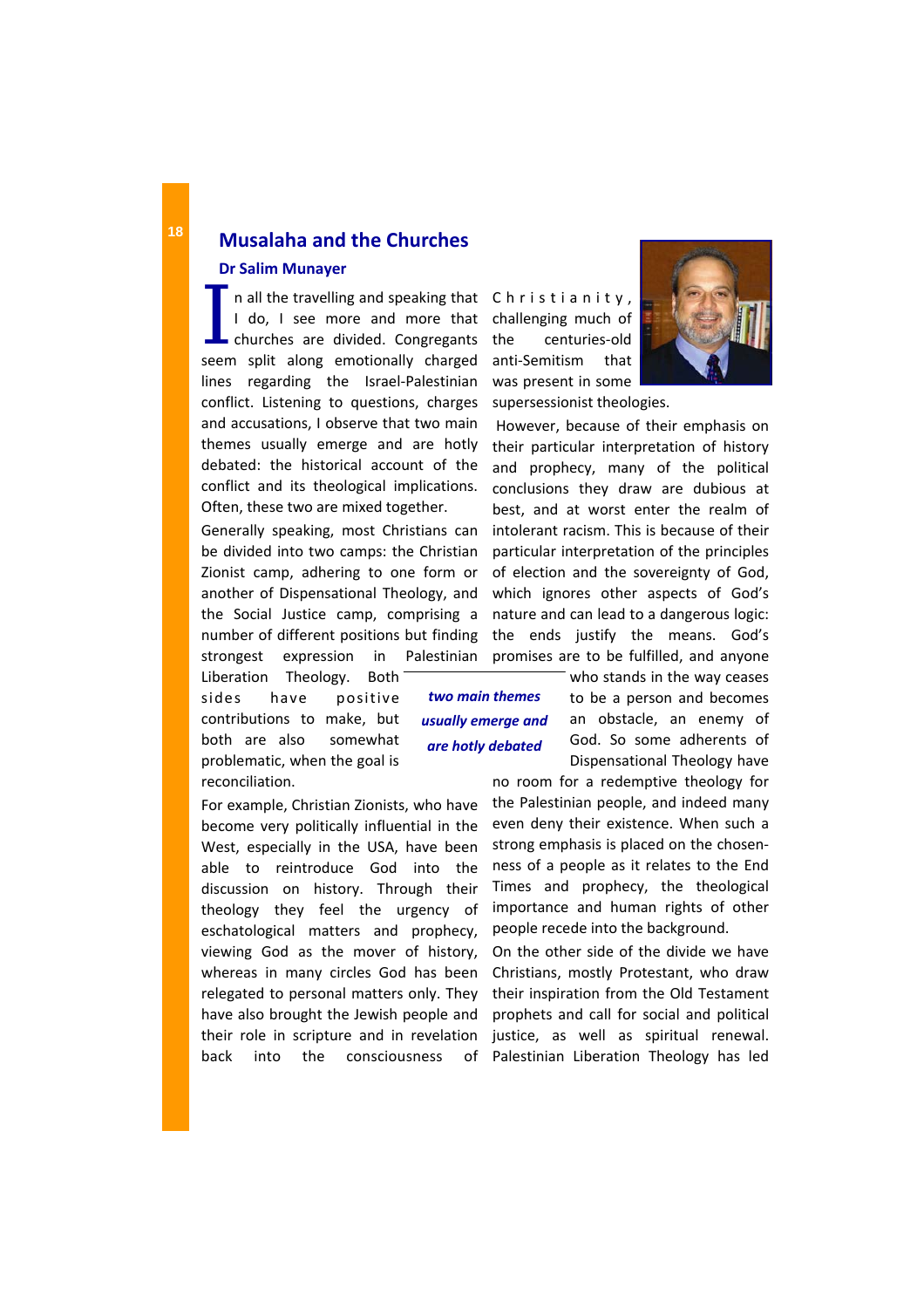I n all the travelling and speaking that<br>
I do, I see more and more that<br>
churches are divided. Congregants I do, I see more and more that seem split along emotionally charged lines regarding the Israel‐Palestinian conflict. Listening to questions, charges and accusations, I observe that two main themes usually emerge and are hotly debated: the historical account of the conflict and its theological implications. Often, these two are mixed together.

Generally speaking, most Christians can be divided into two camps: the Christian Zionist camp, adhering to one form or another of Dispensational Theology, and the Social Justice camp, comprising a number of different positions but finding strongest expression in Palestinian

Liberation Theology. Both sides have positive contributions to make, but both are also somewhat problematic, when the goal is reconciliation.

For example, Christian Zionists, who have become very politically influential in the West, especially in the USA, have been able to reintroduce God into the discussion on history. Through their theology they feel the urgency of eschatological matters and prophecy, viewing God as the mover of history, whereas in many circles God has been relegated to personal matters only. They have also brought the Jewish people and their role in scripture and in revelation back into the consciousness of

Christianity, challenging much of the centuries‐old anti‐Semitism that was present in some supersessionist theologies.

However, because of their emphasis on their particular interpretation of history and prophecy, many of the political conclusions they draw are dubious at best, and at worst enter the realm of intolerant racism. This is because of their particular interpretation of the principles of election and the sovereignty of God, which ignores other aspects of God's nature and can lead to a dangerous logic: the ends justify the means. God's promises are to be fulfilled, and anyone

*two main themes usually emerge and are hotly debated*

who stands in the way ceases to be a person and becomes an obstacle, an enemy of God. So some adherents of Dispensational Theology have

no room for a redemptive theology for the Palestinian people, and indeed many even deny their existence. When such a strong emphasis is placed on the chosen‐ ness of a people as it relates to the End Times and prophecy, the theological importance and human rights of other people recede into the background.

On the other side of the divide we have Christians, mostly Protestant, who draw their inspiration from the Old Testament prophets and call for social and political justice, as well as spiritual renewal. Palestinian Liberation Theology has led

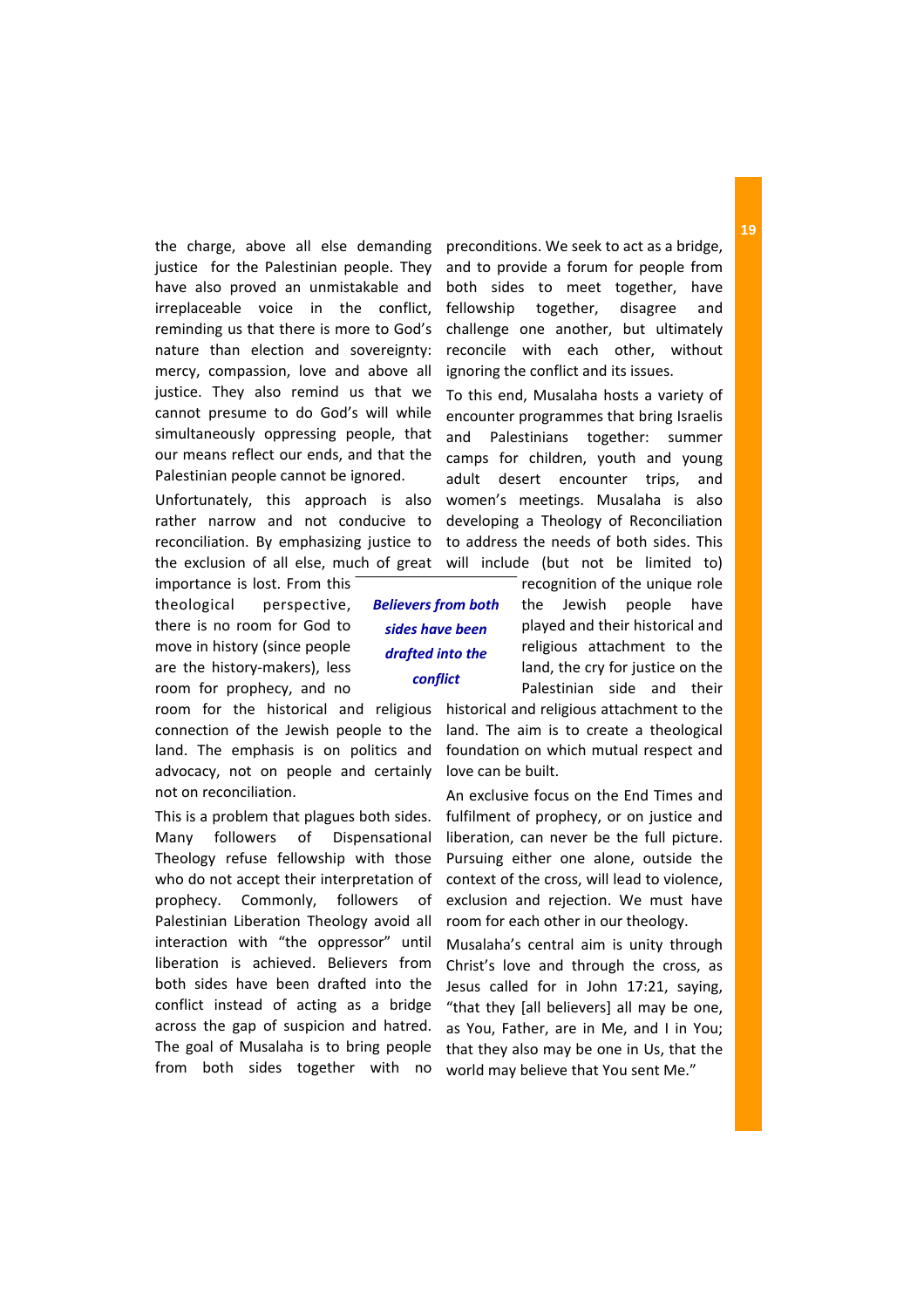the charge, above all else demanding justice for the Palestinian people. They have also proved an unmistakable and irreplaceable voice in the conflict, reminding us that there is more to God's nature than election and sovereignty: mercy, compassion, love and above all justice. They also remind us that we cannot presume to do God's will while simultaneously oppressing people, that our means reflect our ends, and that the Palestinian people cannot be ignored.

Unfortunately, this approach is also rather narrow and not conducive to reconciliation. By emphasizing justice to the exclusion of all else, much of great

importance is lost. From this theological perspective, there is no room for God to move in history (since people are the history‐makers), less room for prophecy, and no

room for the historical and religious connection of the Jewish people to the land. The emphasis is on politics and advocacy, not on people and certainly not on reconciliation.

This is a problem that plagues both sides. Many followers of Dispensational Theology refuse fellowship with those who do not accept their interpretation of prophecy. Commonly, followers of Palestinian Liberation Theology avoid all interaction with "the oppressor" until liberation is achieved. Believers from both sides have been drafted into the conflict instead of acting as a bridge across the gap of suspicion and hatred. The goal of Musalaha is to bring people from both sides together with no

*Believers from both sides have been drafted into the conflict*

preconditions. We seek to act as a bridge, and to provide a forum for people from both sides to meet together, have fellowship together, disagree and challenge one another, but ultimately reconcile with each other, without ignoring the conflict and its issues.

To this end, Musalaha hosts a variety of encounter programmes that bring Israelis and Palestinians together: summer camps for children, youth and young adult desert encounter trips, and women's meetings. Musalaha is also developing a Theology of Reconciliation to address the needs of both sides. This will include (but not be limited to)

> recognition of the unique role the Jewish people have played and their historical and religious attachment to the land, the cry for justice on the Palestinian side and their

historical and religious attachment to the land. The aim is to create a theological foundation on which mutual respect and love can be built.

An exclusive focus on the End Times and fulfilment of prophecy, or on justice and liberation, can never be the full picture. Pursuing either one alone, outside the context of the cross, will lead to violence, exclusion and rejection. We must have room for each other in our theology.

Musalaha's central aim is unity through Christ's love and through the cross, as Jesus called for in John 17:21, saying, "that they [all believers] all may be one, as You, Father, are in Me, and I in You; that they also may be one in Us, that the world may believe that You sent Me."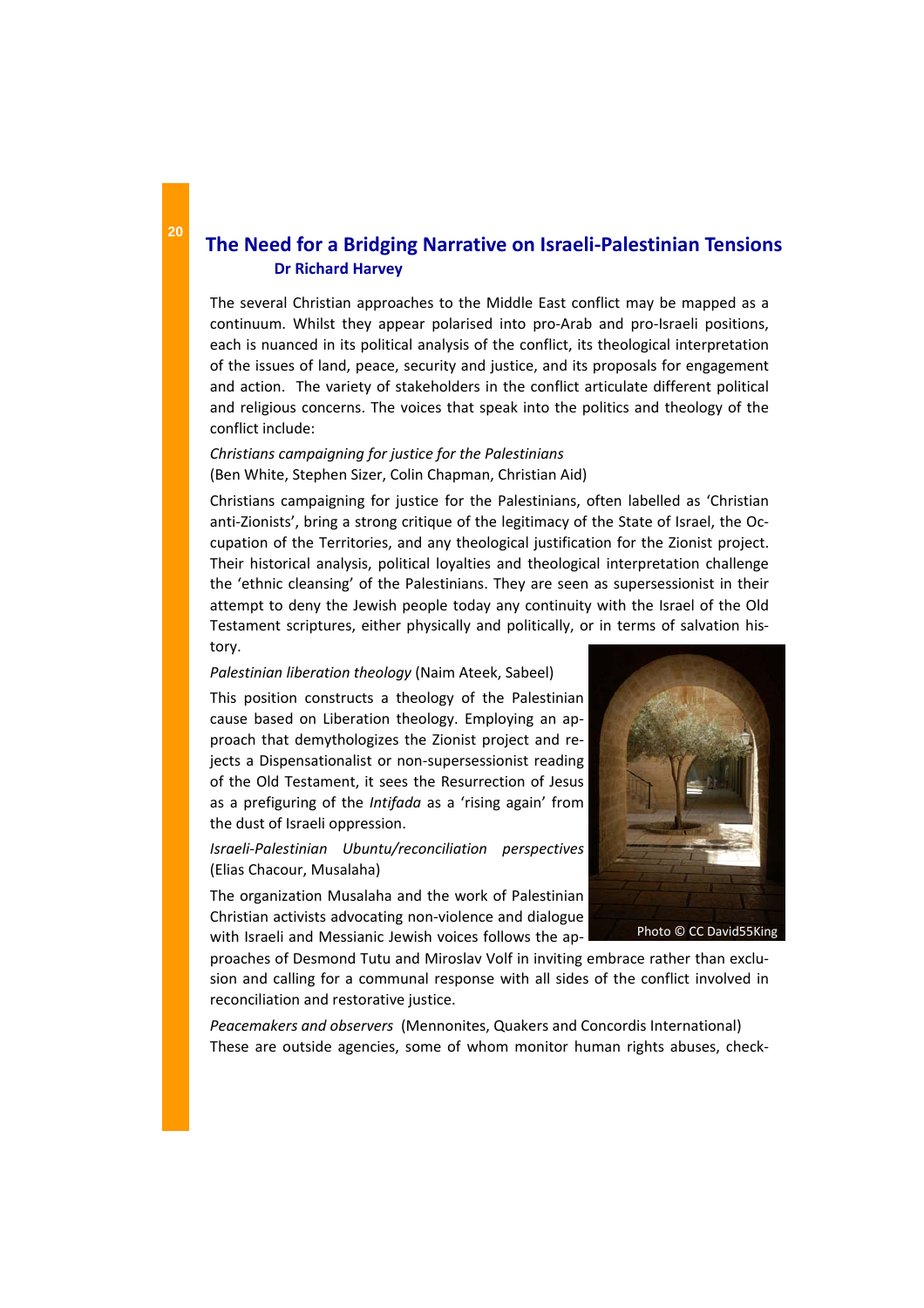# **The Need for a Bridging Narrative on Israeli‐Palestinian Tensions Dr Richard Harvey**

The several Christian approaches to the Middle East conflict may be mapped as a continuum. Whilst they appear polarised into pro‐Arab and pro‐Israeli positions, each is nuanced in its political analysis of the conflict, its theological interpretation of the issues of land, peace, security and justice, and its proposals for engagement and action. The variety of stakeholders in the conflict articulate different political and religious concerns. The voices that speak into the politics and theology of the conflict include:

## *Christians campaigning for justice for the Palestinians*  (Ben White, Stephen Sizer, Colin Chapman, Christian Aid)

Christians campaigning for justice for the Palestinians, often labelled as 'Christian anti-Zionists', bring a strong critique of the legitimacy of the State of Israel, the Occupation of the Territories, and any theological justification for the Zionist project. Their historical analysis, political loyalties and theological interpretation challenge the 'ethnic cleansing' of the Palestinians. They are seen as supersessionist in their attempt to deny the Jewish people today any continuity with the Israel of the Old Testament scriptures, either physically and politically, or in terms of salvation his‐ tory.

### *Palestinian liberation theology* (Naim Ateek, Sabeel)

This position constructs a theology of the Palestinian cause based on Liberation theology. Employing an ap‐ proach that demythologizes the Zionist project and re‐ jects a Dispensationalist or non‐supersessionist reading of the Old Testament, it sees the Resurrection of Jesus as a prefiguring of the *Intifada* as a 'rising again' from the dust of Israeli oppression.

## *Israeli‐Palestinian Ubuntu/reconciliation perspectives* (Elias Chacour, Musalaha)

The organization Musalaha and the work of Palestinian Christian activists advocating non‐violence and dialogue with Israeli and Messianic Jewish voices follows the ap-

proaches of Desmond Tutu and Miroslav Volf in inviting embrace rather than exclu‐ sion and calling for a communal response with all sides of the conflict involved in reconciliation and restorative justice.

*Peacemakers and observers* (Mennonites, Quakers and Concordis International) These are outside agencies, some of whom monitor human rights abuses, check‐

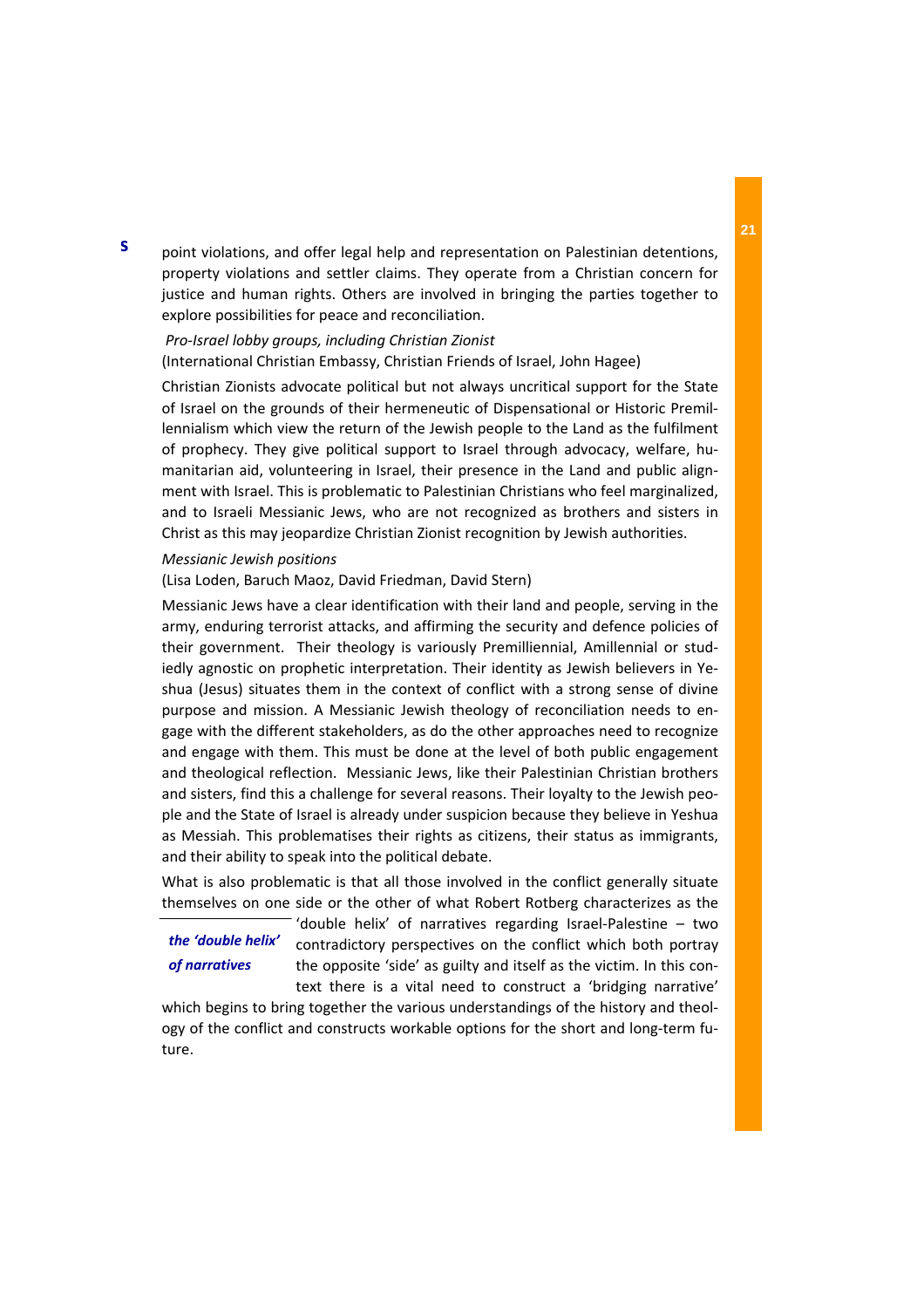point violations, and offer legal help and representation on Palestinian detentions, property violations and settler claims. They operate from a Christian concern for justice and human rights. Others are involved in bringing the parties together to explore possibilities for peace and reconciliation.

# *Pro‐Israel lobby groups, including Christian Zionist*

(International Christian Embassy, Christian Friends of Israel, John Hagee)

Christian Zionists advocate political but not always uncritical support for the State of Israel on the grounds of their hermeneutic of Dispensational or Historic Premil‐ lennialism which view the return of the Jewish people to the Land as the fulfilment of prophecy. They give political support to Israel through advocacy, welfare, hu‐ manitarian aid, volunteering in Israel, their presence in the Land and public alignment with Israel. This is problematic to Palestinian Christians who feel marginalized, and to Israeli Messianic Jews, who are not recognized as brothers and sisters in Christ as this may jeopardize Christian Zionist recognition by Jewish authorities.

## *Messianic Jewish positions*

(Lisa Loden, Baruch Maoz, David Friedman, David Stern)

Messianic Jews have a clear identification with their land and people, serving in the army, enduring terrorist attacks, and affirming the security and defence policies of their government. Their theology is variously Premilliennial, Amillennial or studiedly agnostic on prophetic interpretation. Their identity as Jewish believers in Ye‐ shua (Jesus) situates them in the context of conflict with a strong sense of divine purpose and mission. A Messianic Jewish theology of reconciliation needs to en‐ gage with the different stakeholders, as do the other approaches need to recognize and engage with them. This must be done at the level of both public engagement and theological reflection. Messianic Jews, like their Palestinian Christian brothers and sisters, find this a challenge for several reasons. Their loyalty to the Jewish peo‐ ple and the State of Israel is already under suspicion because they believe in Yeshua as Messiah. This problematises their rights as citizens, their status as immigrants, and their ability to speak into the political debate.

What is also problematic is that all those involved in the conflict generally situate themselves on one side or the other of what Robert Rotberg characterizes as the

## *the 'double helix' of narratives*

'double helix' of narratives regarding Israel‐Palestine – two contradictory perspectives on the conflict which both portray the opposite 'side' as guilty and itself as the victim. In this con‐ text there is a vital need to construct a 'bridging narrative'

which begins to bring together the various understandings of the history and theology of the conflict and constructs workable options for the short and long‐term fu‐ ture.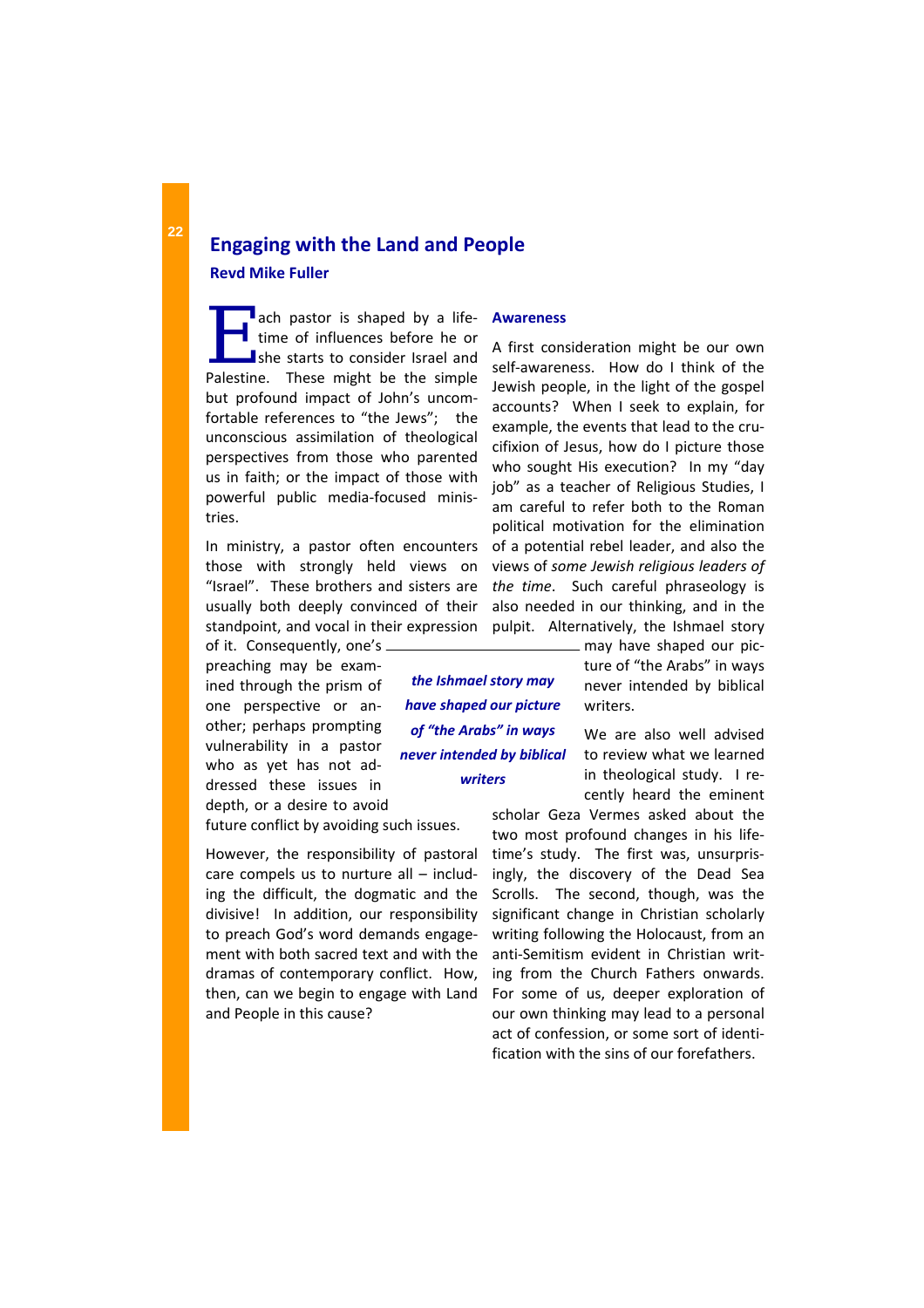**Engaging with the Land and People Revd Mike Fuller**

ach pastor is shaped by a life-<br>time of influences before he or<br>she starts to consider Israel and<br>Paleting These might he the simple time of influences before he or she starts to consider Israel and Palestine. These might be the simple but profound impact of John's uncom‐ fortable references to "the Jews"; the unconscious assimilation of theological perspectives from those who parented us in faith; or the impact of those with powerful public media‐focused minis‐ tries.

In ministry, a pastor often encounters those with strongly held views on "Israel". These brothers and sisters are usually both deeply convinced of their standpoint, and vocal in their expression

of it. Consequently, one's preaching may be exam‐ ined through the prism of one perspective or an‐ other; perhaps prompting vulnerability in a pastor who as yet has not addressed these issues in depth, or a desire to avoid

future conflict by avoiding such issues.

However, the responsibility of pastoral care compels us to nurture all – includ‐ ing the difficult, the dogmatic and the divisive! In addition, our responsibility to preach God's word demands engage‐ ment with both sacred text and with the dramas of contemporary conflict. How, then, can we begin to engage with Land and People in this cause?

### **Awareness**

A first consideration might be our own self-awareness. How do I think of the Jewish people, in the light of the gospel accounts? When I seek to explain, for example, the events that lead to the cru‐ cifixion of Jesus, how do I picture those who sought His execution? In my "day job" as a teacher of Religious Studies, I am careful to refer both to the Roman political motivation for the elimination of a potential rebel leader, and also the views of *some Jewish religious leaders of the time*. Such careful phraseology is also needed in our thinking, and in the pulpit. Alternatively, the Ishmael story

*the Ishmael story may have shaped our picture of "the Arabs" in ways never intended by biblical writers*

may have shaped our pic‐ ture of "the Arabs" in ways never intended by biblical writers.

We are also well advised to review what we learned in theological study. I recently heard the eminent

scholar Geza Vermes asked about the two most profound changes in his life‐ time's study. The first was, unsurprisingly, the discovery of the Dead Sea Scrolls. The second, though, was the significant change in Christian scholarly writing following the Holocaust, from an anti‐Semitism evident in Christian writ‐ ing from the Church Fathers onwards. For some of us, deeper exploration of our own thinking may lead to a personal act of confession, or some sort of identi‐ fication with the sins of our forefathers.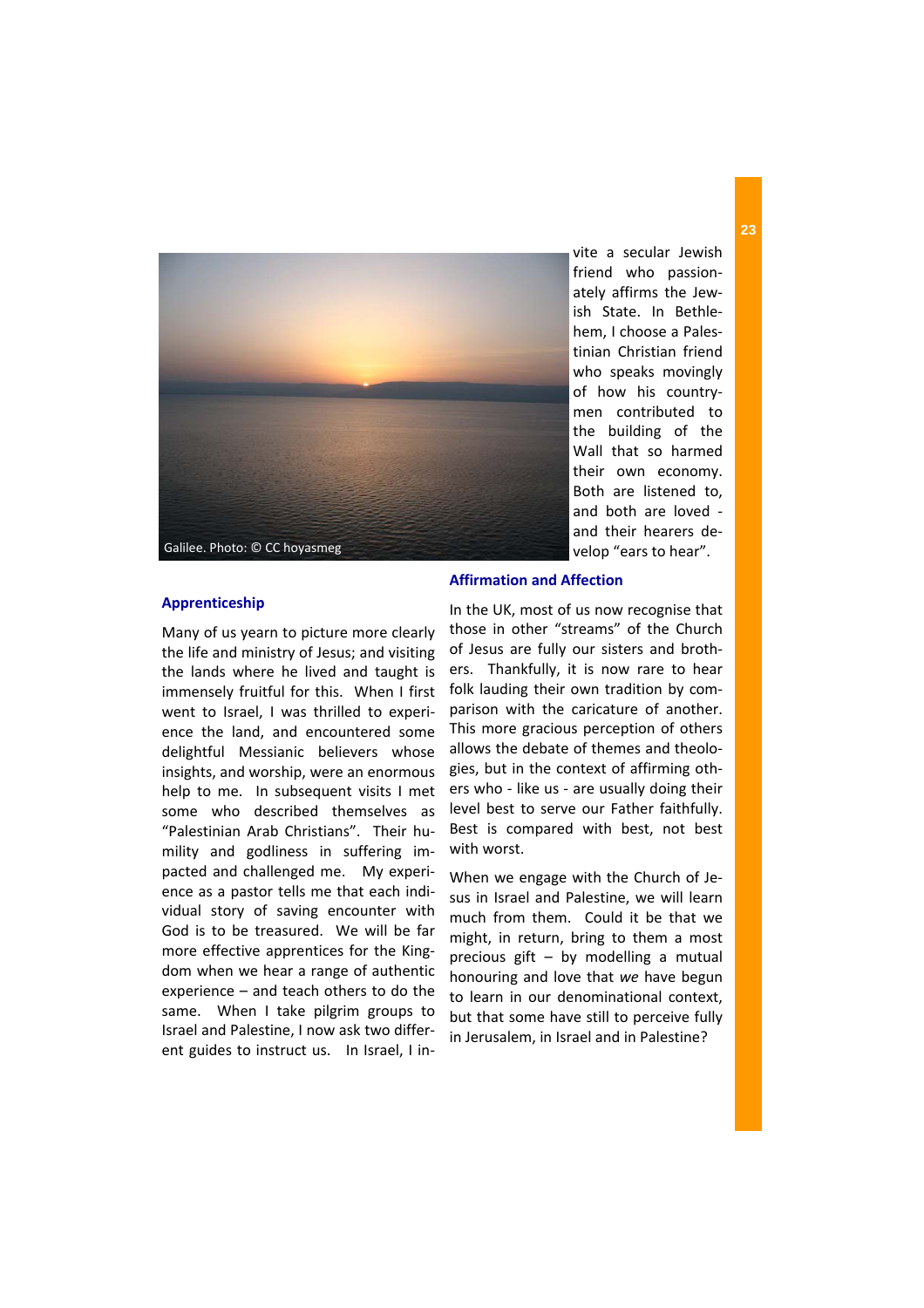

vite a secular Jewish friend who passion‐ ately affirms the Jew‐ ish State. In Bethle‐ hem, I choose a Pales‐ tinian Christian friend who speaks movingly of how his country‐ men contributed to the building of the Wall that so harmed their own economy. Both are listened to, and both are loved ‐ and their hearers de‐ velop "ears to hear".

### **Apprenticeship**

Many of us yearn to picture more clearly the life and ministry of Jesus; and visiting the lands where he lived and taught is immensely fruitful for this. When I first went to Israel, I was thrilled to experience the land, and encountered some delightful Messianic believers whose insights, and worship, were an enormous help to me. In subsequent visits I met some who described themselves as "Palestinian Arab Christians". Their hu‐ mility and godliness in suffering im‐ pacted and challenged me. My experi‐ ence as a pastor tells me that each indi‐ vidual story of saving encounter with God is to be treasured. We will be far more effective apprentices for the King‐ dom when we hear a range of authentic experience – and teach others to do the same. When I take pilgrim groups to Israel and Palestine, I now ask two differ‐ ent guides to instruct us. In Israel, I in-

### **Affirmation and Affection**

In the UK, most of us now recognise that those in other "streams" of the Church of Jesus are fully our sisters and broth‐ ers. Thankfully, it is now rare to hear folk lauding their own tradition by comparison with the caricature of another. This more gracious perception of others allows the debate of themes and theolo‐ gies, but in the context of affirming oth‐ ers who ‐ like us ‐ are usually doing their level best to serve our Father faithfully. Best is compared with best, not best with worst.

When we engage with the Church of Je‐ sus in Israel and Palestine, we will learn much from them. Could it be that we might, in return, bring to them a most precious gift – by modelling a mutual honouring and love that *we* have begun to learn in our denominational context, but that some have still to perceive fully in Jerusalem, in Israel and in Palestine?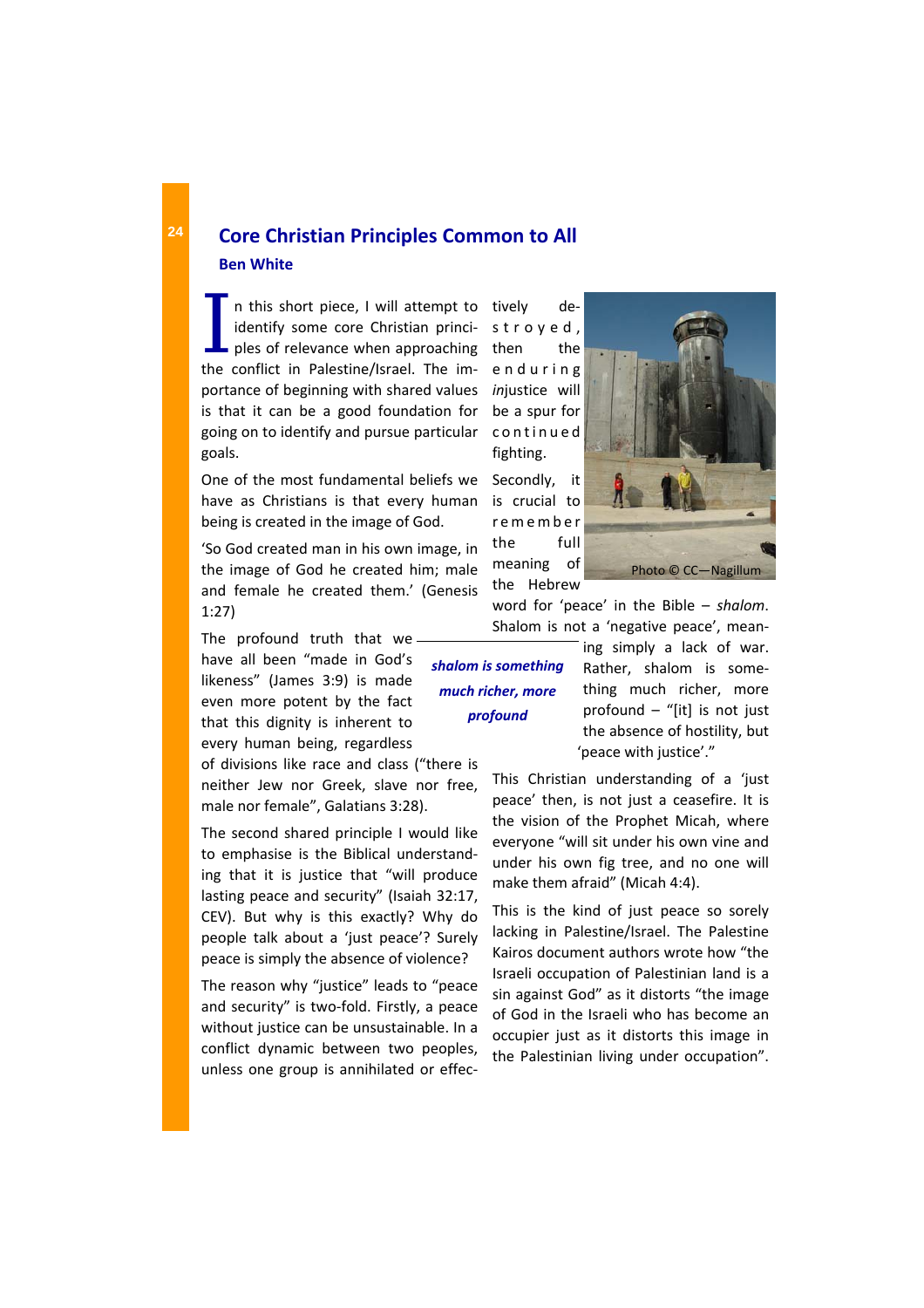I n this short piece, I will attempt to<br>identify some core Christian princi-<br>ples of relevance when approaching<br>the conflict in Palestine (Israel, The imidentify some core Christian princi‐ the conflict in Palestine/Israel. The im‐ portance of beginning with shared values is that it can be a good foundation for going on to identify and pursue particular goals.

One of the most fundamental beliefs we have as Christians is that every human being is created in the image of God.

'So God created man in his own image, in the image of God he created him; male and female he created them.' (Genesis 1:27)

The profound truth that we have all been "made in God's likeness" (James 3:9) is made even more potent by the fact that this dignity is inherent to every human being, regardless of divisions like race and class ("there is neither Jew nor Greek, slave nor free,

male nor female", Galatians 3:28).

The second shared principle I would like to emphasise is the Biblical understand‐ ing that it is justice that "will produce lasting peace and security" (Isaiah 32:17, CEV). But why is this exactly? Why do people talk about a 'just peace'? Surely peace is simply the absence of violence?

The reason why "justice" leads to "peace and security" is two-fold. Firstly, a peace without justice can be unsustainable. In a conflict dynamic between two peoples, unless one group is annihilated or effec‐ tively de‐ stroyed, then the enduring *in*justice will be a spur for continued fighting.

Secondly, it is crucial to remember the full meaning of the Hebrew



word for 'peace' in the Bible – *shalom*. Shalom is not a 'negative peace', mean‐

*shalom is something much richer, more profound* 

ing simply a lack of war. Rather, shalom is some‐ thing much richer, more profound  $-$  "[it] is not just the absence of hostility, but 'peace with justice'."

This Christian understanding of a 'just peace' then, is not just a ceasefire. It is the vision of the Prophet Micah, where everyone "will sit under his own vine and under his own fig tree, and no one will make them afraid" (Micah 4:4).

This is the kind of just peace so sorely lacking in Palestine/Israel. The Palestine Kairos document authors wrote how "the Israeli occupation of Palestinian land is a sin against God" as it distorts "the image of God in the Israeli who has become an occupier just as it distorts this image in the Palestinian living under occupation".

# **Core Christian Principles Common to All Ben White**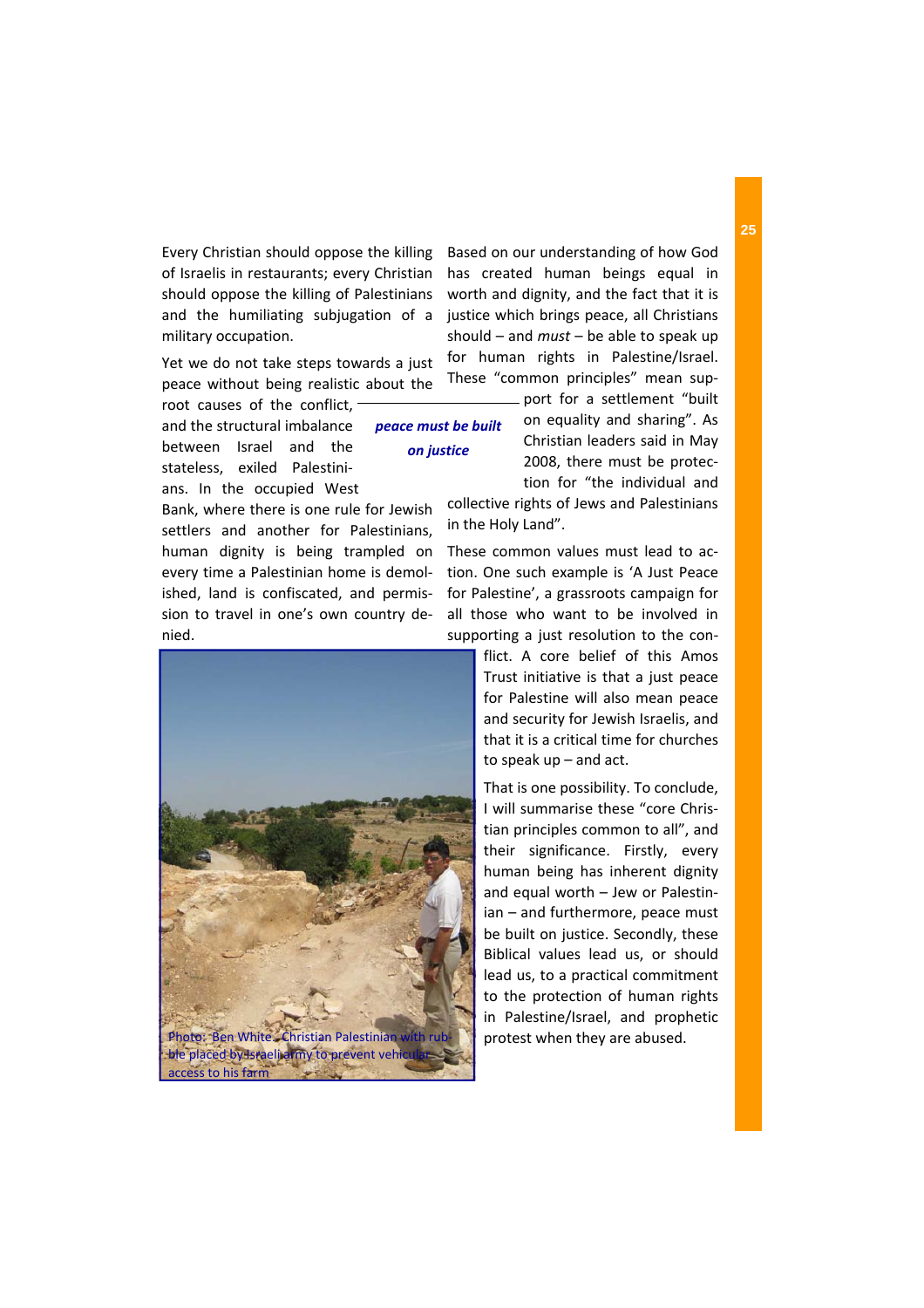Every Christian should oppose the killing of Israelis in restaurants; every Christian should oppose the killing of Palestinians and the humiliating subjugation of a military occupation.

Yet we do not take steps towards a just peace without being realistic about the

> *peace must be built on justice*

root causes of the conflict, and the structural imbalance between Israel and the stateless, exiled Palestini‐ ans. In the occupied West

Bank, where there is one rule for Jewish settlers and another for Palestinians, human dignity is being trampled on every time a Palestinian home is demol‐ ished, land is confiscated, and permis‐ sion to travel in one's own country de‐ nied.



Based on our understanding of how God has created human beings equal in worth and dignity, and the fact that it is justice which brings peace, all Christians should – and *must* – be able to speak up for human rights in Palestine/Israel. These "common principles" mean sup‐

port for a settlement "built on equality and sharing". As Christian leaders said in May 2008, there must be protec‐ tion for "the individual and

collective rights of Jews and Palestinians in the Holy Land".

These common values must lead to action. One such example is 'A Just Peace for Palestine', a grassroots campaign for all those who want to be involved in supporting a just resolution to the con‐

> flict. A core belief of this Amos Trust initiative is that a just peace for Palestine will also mean peace and security for Jewish Israelis, and that it is a critical time for churches to speak up – and act.

> That is one possibility. To conclude, I will summarise these "core Chris‐ tian principles common to all", and their significance. Firstly, every human being has inherent dignity and equal worth – Jew or Palestin‐ ian – and furthermore, peace must be built on justice. Secondly, these Biblical values lead us, or should lead us, to a practical commitment to the protection of human rights in Palestine/Israel, and prophetic protest when they are abused.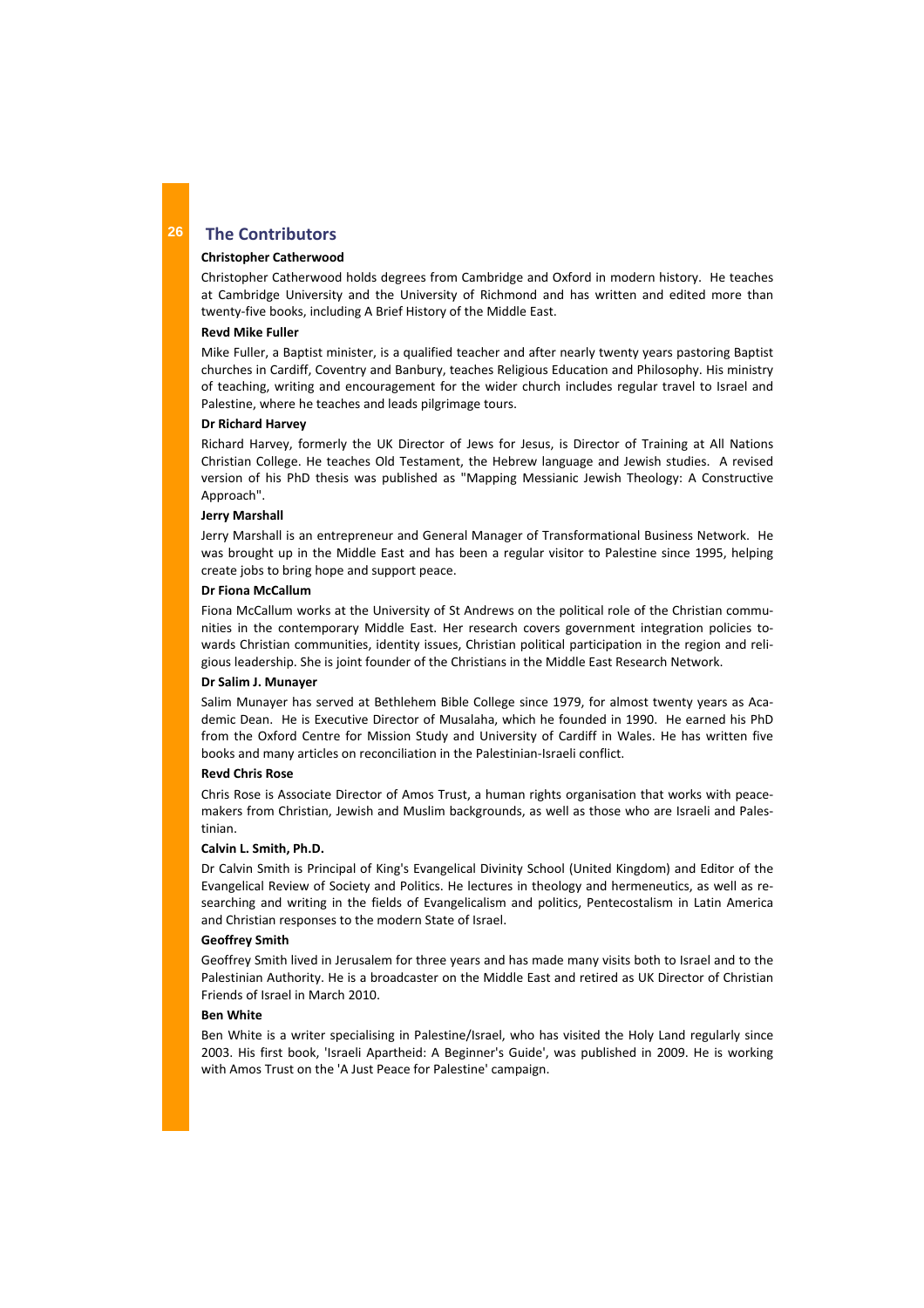## **The Contributors**

### **Christopher Catherwood**

Christopher Catherwood holds degrees from Cambridge and Oxford in modern history. He teaches at Cambridge University and the University of Richmond and has written and edited more than twenty‐five books, including A Brief History of the Middle East.

#### **Revd Mike Fuller**

Mike Fuller, a Baptist minister, is a qualified teacher and after nearly twenty years pastoring Baptist churches in Cardiff, Coventry and Banbury, teaches Religious Education and Philosophy. His ministry of teaching, writing and encouragement for the wider church includes regular travel to Israel and Palestine, where he teaches and leads pilgrimage tours.

### **Dr Richard Harvey**

Richard Harvey, formerly the UK Director of Jews for Jesus, is Director of Training at All Nations Christian College. He teaches Old Testament, the Hebrew language and Jewish studies. A revised version of his PhD thesis was published as "Mapping Messianic Jewish Theology: A Constructive Approach".

### **Jerry Marshall**

Jerry Marshall is an entrepreneur and General Manager of Transformational Business Network. He was brought up in the Middle East and has been a regular visitor to Palestine since 1995, helping create jobs to bring hope and support peace.

#### **Dr Fiona McCallum**

Fiona McCallum works at the University of St Andrews on the political role of the Christian communities in the contemporary Middle East. Her research covers government integration policies to‐ wards Christian communities, identity issues, Christian political participation in the region and reli‐ gious leadership. She is joint founder of the Christians in the Middle East Research Network.

#### **Dr Salim J. Munayer**

Salim Munayer has served at Bethlehem Bible College since 1979, for almost twenty years as Aca‐ demic Dean. He is Executive Director of Musalaha, which he founded in 1990. He earned his PhD from the Oxford Centre for Mission Study and University of Cardiff in Wales. He has written five books and many articles on reconciliation in the Palestinian‐Israeli conflict.

### **Revd Chris Rose**

Chris Rose is Associate Director of Amos Trust, a human rights organisation that works with peace‐ makers from Christian, Jewish and Muslim backgrounds, as well as those who are Israeli and Pales‐ tinian.

### **Calvin L. Smith, Ph.D.**

Dr Calvin Smith is Principal of King's Evangelical Divinity School (United Kingdom) and Editor of the Evangelical Review of Society and Politics. He lectures in theology and hermeneutics, as well as re‐ searching and writing in the fields of Evangelicalism and politics, Pentecostalism in Latin America and Christian responses to the modern State of Israel.

### **Geoffrey Smith**

Geoffrey Smith lived in Jerusalem for three years and has made many visits both to Israel and to the Palestinian Authority. He is a broadcaster on the Middle East and retired as UK Director of Christian Friends of Israel in March 2010.

#### **Ben White**

Ben White is a writer specialising in Palestine/Israel, who has visited the Holy Land regularly since 2003. His first book, 'Israeli Apartheid: A Beginner's Guide', was published in 2009. He is working with Amos Trust on the 'A Just Peace for Palestine' campaign.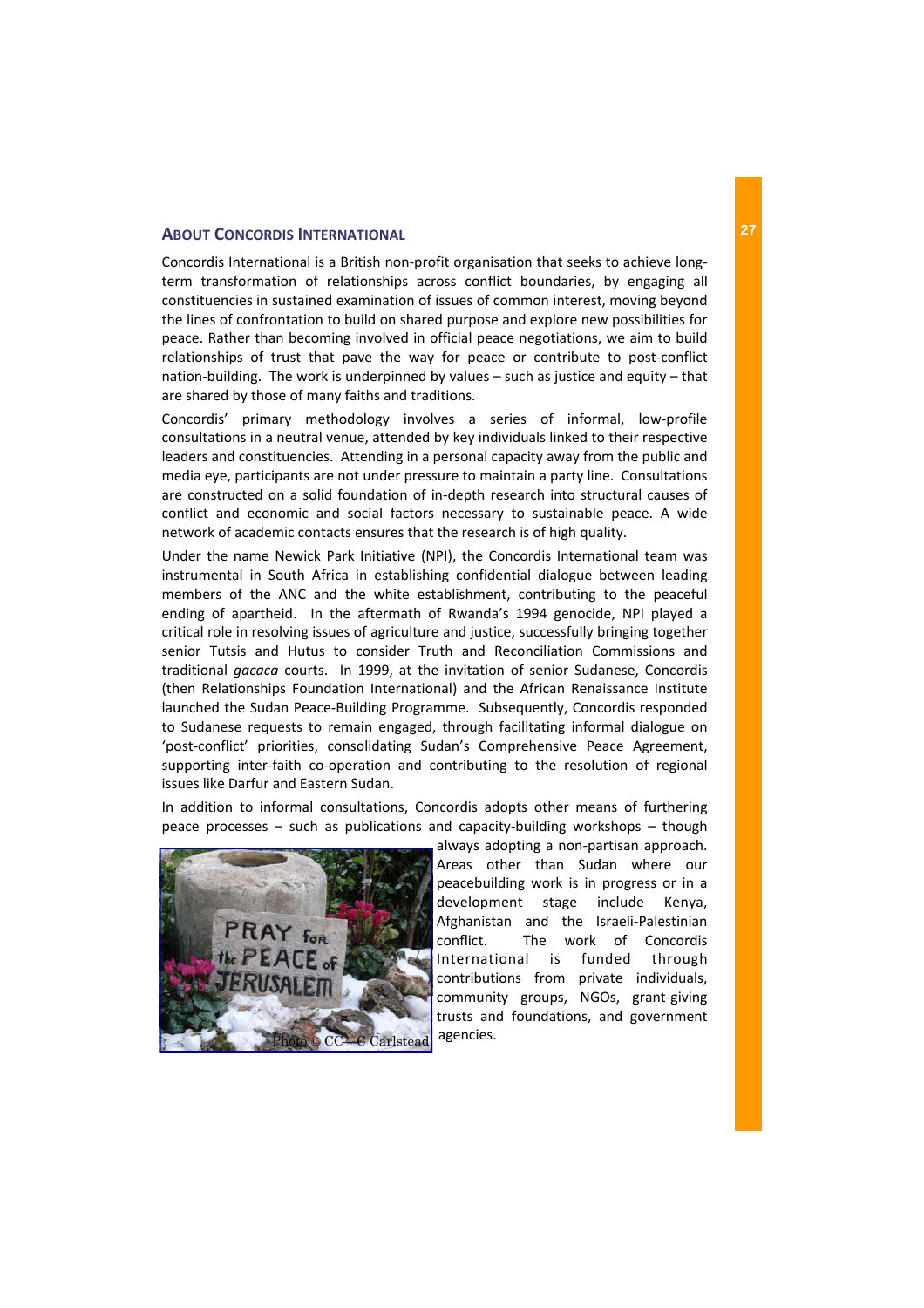## **ABOUT CONCORDIS INTERNATIONAL**

Concordis International is a British non‐profit organisation that seeks to achieve long‐ term transformation of relationships across conflict boundaries, by engaging all constituencies in sustained examination of issues of common interest, moving beyond the lines of confrontation to build on shared purpose and explore new possibilities for peace. Rather than becoming involved in official peace negotiations, we aim to build relationships of trust that pave the way for peace or contribute to post-conflict nation‐building. The work is underpinned by values – such as justice and equity – that are shared by those of many faiths and traditions.

Concordis' primary methodology involves a series of informal, low‐profile consultations in a neutral venue, attended by key individuals linked to their respective leaders and constituencies. Attending in a personal capacity away from the public and media eye, participants are not under pressure to maintain a party line. Consultations are constructed on a solid foundation of in‐depth research into structural causes of conflict and economic and social factors necessary to sustainable peace. A wide network of academic contacts ensures that the research is of high quality.

Under the name Newick Park Initiative (NPI), the Concordis International team was instrumental in South Africa in establishing confidential dialogue between leading members of the ANC and the white establishment, contributing to the peaceful ending of apartheid. In the aftermath of Rwanda's 1994 genocide, NPI played a critical role in resolving issues of agriculture and justice, successfully bringing together senior Tutsis and Hutus to consider Truth and Reconciliation Commissions and traditional *gacaca* courts. In 1999, at the invitation of senior Sudanese, Concordis (then Relationships Foundation International) and the African Renaissance Institute launched the Sudan Peace‐Building Programme. Subsequently, Concordis responded to Sudanese requests to remain engaged, through facilitating informal dialogue on 'post-conflict' priorities, consolidating Sudan's Comprehensive Peace Agreement, supporting inter-faith co-operation and contributing to the resolution of regional issues like Darfur and Eastern Sudan.

In addition to informal consultations, Concordis adopts other means of furthering peace processes – such as publications and capacity‐building workshops – though



always adopting a non‐partisan approach. Areas other than Sudan where our peacebuilding work is in progress or in a development stage include Kenya, Afghanistan and the Israeli‐Palestinian conflict. The work of Concordis International is funded through contributions from private individuals, community groups, NGOs, grant‐giving trusts and foundations, and government